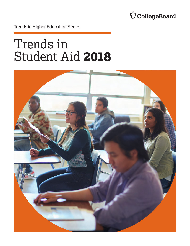

Trends in Higher Education Series

# Trends in Student Aid **2018**

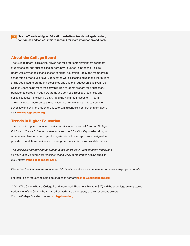

**See the Trends in Higher Education website at [trends.collegeboard.org](http://trends.collegeboard.org) for figures and tables in this report and for more information and data.** 

### **About the College Board**

The College Board is a mission-driven not-for-profit organization that connects students to college success and opportunity. Founded in 1900, the College Board was created to expand access to higher education. Today, the membership association is made up of over 6,000 of the world's leading educational institutions and is dedicated to promoting excellence and equity in education. Each year, the College Board helps more than seven million students prepare for a successful transition to college through programs and services in college readiness and college success—including the SAT® and the Advanced Placement Program® . The organization also serves the education community through research and advocacy on behalf of students, educators, and schools. For further information, visit **[www.collegeboard.org](http://www.collegeboard.org)**.

### **Trends in Higher Education**

Pricing and Trends in Student Aid reports and the Education Pays series, along with The Trends in Higher Education publications include the annual *Trends in College Pricing* and *Trends in Student Aid* reports and the *Education Pays* series, along with other research reports and topical analysis briefs. These reports are designed to provide a foundation of evidence to strengthen policy discussions and decisions.

*The tables supporting all of the graphs in this report, a PDF version of the report, and a PowerPoint file containing individual slides for all of the graphs are available on our website* **[trends.collegeboard.org](http://trends.collegeboard.org)**.

*Please feel free to cite or reproduce the data in this report for noncommercial purposes with proper attribution.* 

For inquiries or requesting hard copies, please contact: **[trends@collegeboard.org](mailto:trends@collegeboard.org)**.

© 2018 The College Board. College Board, Advanced Placement Program, SAT, and the acorn logo are registered trademarks of the College Board. All other marks are the property of their respective owners. Visit the College Board on the web: **[collegeboard.org](http://collegeboard.org)**.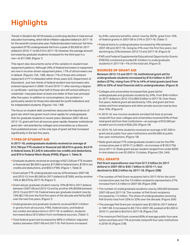### <span id="page-2-0"></span>**Highlights**

*Trends in Student Aid 2018* reveals a continuing decline in total annual education borrowing, which fell (in inflation-adjusted dollars) in 2017-18 for the seventh consecutive year. Federal education loans per full-time equivalent (FTE) undergraduate fell from a peak of \$5,830 (in 2017 dollars) in 2010-11 to \$4,510 in 2017-18. However, the average amount borrowed by graduate students increased for the third year in a row—to \$17,990. (Figure 1)

This report also documents some of the variation in student loan repayment patterns. Although 29% of federal borrowers in repayment are now in income-driven repayment plans, 17% of all borrowers are in default. (Figures 13A, 13B). About 11% of those who entered repayment in FY14 defaulted within three years (U.S. Department of Education). Just two-thirds of federal student loan borrowers who entered repayment in 2009-10 and 2010-11 after earning a degree or certificate—and less than half of those who left school without a credential—had paid down at least one dollar of their loan principal after five years. In addition to noncompleters, the problem is particularly severe for those who attended for-profit institutions and for independent students. (Figures 14A, 14B)

The focus on student debt sometimes obscures the importance of grant aid, which has grown much more rapidly for undergraduate than for graduate students in recent years. Between 2007-08 and 2012-13, grant aid from all sources grew rapidly. However, institutional grant aid—aid awarded by colleges and universities as a discount from published prices—is the only type of grant aid that increased significantly in the last five years.

### **TYPES OF STUDENT AID**

**In 2017-18, undergraduate students received an average of \$14,790 per FTE student in financial aid: \$8,970 in grants, \$4,510 in federal loans, \$1,240 in education tax credits and deductions, and \$70 in Federal Work-Study (FWS). (Figure 1, Table 3)** 

- Graduate students received an average of \$27,230 per FTE student in financial aid: \$8,460 in grants, \$17,990 in federal loans, \$730 in tax credits and deductions, and \$50 in FWS. (Figure 1, Table 3)
- Grant aid per FTE undergraduate rose by 42% between 2007-08 and 2012-13, from \$5,560 (in 2017 dollars) to \$7,890, and by another 14% to \$8,970 by 2017-18. (Figure 1)
- Grant aid per graduate student rose by 10% (\$740 in 2017 dollars) between 2007-08 and 2012-13 and by another 6% (\$490) between 2012-13 and 2017-18. Federal loans per graduate student rose by 13% (\$2,110) over the first five years of the decade and fell by \$30 over the next five years. (Figure 1)
- Undergraduate and graduate students received \$241.3 billion in grants from all sources, FWS, federal loans, and federal tax credits and deductions in 2017-18. In addition, students borrowed about \$12 billion from nonfederal sources. (Table 1)
- Total federal grant aid increased by 88% in inflation-adjusted dollars between 2007-08 and 2017-18. Pell Grants increased

by 64%; veterans benefits, which rose by 282%, grew from 15% of federal grants in 2007-08 to 31% in 2017-18. (Table 1)

- **Federal loans to undergraduates increased by 9% between** 2007-08 and 2017-18, rising by 41% over the first five years, but declining by 23% between 2012-13 and 2017-18. (Figure 3)
- FWS and Federal Supplemental Educational Opportunity Grants (FSEOG) combined provided \$1.6 billion to undergraduate students in 2017-18—1% of the total aid. (Figure 3)

#### **SOURCES OF GRANT AID**

**Between 2012-13 and 2017-18, institutional grant aid for undergraduate students increased by \$10.4 billion in 2017 dollars (27%), rising from 37% to 44% of total grants (and from 20% to 26% of total financial aid) to undergraduates. (Figure 3)**

- Colleges and universities increased their grant aid for undergraduate and graduate students by 24%, from \$48.4 billion (in 2017 dollars) in 2012-13 to \$60.0 billion in 2017-18. Over these five years, federal grant aid declined by 12%, and grant aid from states and from employers and other private sources rose by less than 10%. (Figure 5)
- In 2015-16, low-income students enrolled full time at private nonprofit four-year colleges and universities received 63% of their total grant aid from their institutions—an average of \$16,590 per student out of a total of \$26,220. (Figure 19)
- In 2015-16, full-time students received an average of \$7,300 in grant aid at public four-year institutions and \$4,680 at public two-year institutions. (Figure 18)
- State grant aid per FTE undergraduate student rose for the fifth consecutive year in 2016-17, to \$820—an increase of \$120 (17%) since 2011-12. State grant aid per student ranged from under \$200 in nine states to over \$1,000 in 13 states. (Figures 23A, 24A)

### **PELL GRANTS**

**Pell Grant expenditures rose from \$17.2 billion (in 2017 dollars) in 2007-08 to \$40.1 billion in 2010-11, but declined to \$28.2 billion by 2017-18. (Figure 20B)** 

- **The number of Pell Grant recipients fell in 2017-18 for the sixth** consecutive year, but the 7.0 million recipients represented a 27% increase from 5.5 million in 2007-08. (Figure 20B)
- **The number of undergraduate students rose by 290,000 between** 2007-08 and 2017-18. The number of Pell Grant recipients increased by 1.5 million. The share of undergraduates receiving Pell Grants rose from 25% to 32% over the decade. (Figure 20A)
- The average Pell Grant per recipient was \$2,590 (in 2017 dollars) in 1997-98. It increased to \$3,110 in 2007-08, peaked at \$4,300 in 2010-11, and fell to \$4,010 in 2017-18. (Figure 21A)
- **The maximum Pell Grant covered 60% of average public four-year** tuition and fees and 17% at private nonprofit four-year institutions in 2018-19. (Figure 21B)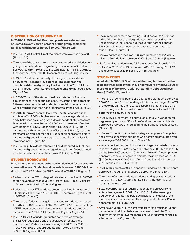### **DISTRIBUTION OF STUDENT AID**

**In 2016-17, 49% of Pell Grant recipients were dependent students. Seventy-three percent of this group came from families with incomes below \$40,000. (Figure 22B)** 

- In 2016-17, 20% of Pell Grant recipients were over the age of 30. (Figure 22A)
- **The share of the savings from education tax credits and deductions** going to households with adjusted gross income (AGI) below \$25,000 rose from 14% in 2006 to 22% in 2016. The share going to those with AGI over \$100,000 rose from 1% to 24%. (Figure 26A)
- In 1981-82 and before, virtually all state grant aid was based on students' financial circumstances. The share that was need-based declined gradually to a low of 71% in 2010-11. From 2013-14 through 2016-17, 76% of state grant aid was need-based. (Figure 23A)
- In 2016-17, half of the states considered students' financial circumstances in allocating at least 95% of their state grant aid. Fifteen states considered students' financial circumstances when awarding less than half of their state grant aid. (Figure 23B)
- In 2015-16, private nonprofit four-year institutions with tuition and fees of \$45,000 or higher awarded, on average, about two and a half times as much grant aid to dependent students from families with incomes below \$35,000 as to those from families with incomes of \$120,000 or higher (\$33,260 vs. \$12,840). At institutions with tuition and fees of less than \$25,000, students from families with incomes of \$70,000 or higher received more institutional grant aid, on average, than those from families with lower incomes. (Figure 25A)
- In 2015-16, public doctoral universities distributed 62% of their institutional grant aid without regard to students' financial need; at public master's universities, it was 71%. (Figure 25B)

### **STUDENT BORROWING**

**In 2017-18, annual education borrowing declined for the seventh consecutive year. Students and parents borrowed \$105.5 billion, down from \$127.7 billion (in 2017 dollars) in 2010-11. (Figure 6)** 

- Federal loans per FTE undergraduate student declined in 2017-18 for the seventh consecutive year—from \$5,830 (in 2017 dollars) in 2010-11 to \$4,510 in 2017-18. (Figure 1)
- Federal loans per FTE graduate student declined from a peak of \$19,180 in 2010-11 to \$17,340 in 2014-15, before rising to \$17,990 in 2017-18. (Figure 1)
- **The share of federal loans going to graduate students increased** from 32% to 40% between 2002-03 and 2017-18. The percentage of FTE postsecondary students who were graduate students increased from 13% to 14% over these 15 years. (Figure 9A)
- In 2017-18, 29% of undergraduates borrowed an average of \$6,570 in subsidized and unsubsidized Direct Loans, a decline from 37% borrowing an average of \$6,790 in 2012-13; in 2007-08, 30% of undergraduates borrowed an average of \$6,360. (Figures 9B, 12)
- **The number of parents borrowing PLUS Loans in 2017-18 was** 12% of the number of undergraduates taking subsidized and unsubsidized Direct Loans, but the average parent loan was \$16,450, 2.5 times as much as the average undergraduate student loan. (Figure 9B)
- Borrowing through the Grad PLUS program rose by 27% (\$2.2 billion in 2017 dollars) between 2012-13 and 2017-18. (Figure 6)
- Nonfederal education loans fell from about \$26 billion (in 2017 dollars) in 2007-08 to \$9 billion from 2009-10 through 2011-12, and rose to about \$12 billion in 2017-18. (Figure 6)

#### **STUDENT DEBT**

**As of March 2018, 52% of the outstanding federal education loan debt was held by the 14% of borrowers owing \$60,000 or more; 56% of borrowers with outstanding debt owed less than \$20,000. (Figure 11)** 

- **The share of 2015-16 bachelor's degree recipients who borrowed** \$50,000 or more for their undergraduate studies ranged from 7% of those who earned their degrees at public institutions to 32% of those who graduated from for-profit institutions. Overall, 11% borrowed this much. (Figure 16)
- In 2015-16, 5% of master's degree recipients, 20% of doctoral degree recipients, and 50% of professional degree recipients borrowed \$100,000 or more to fund their graduate school study. (Figure 17)
- In 2016-17, the 59% of bachelor's degree recipients from public and private nonprofit institutions who borrowed graduated with an average of \$28,500 in debt. (Figure 15)
- Average debt among public four-year college graduate borrowers rose by 16% (\$3,700 in 2017 dollars) between 2006-07 and 2011-12 and by 3% (\$700) between 2011-12 and 2016-17. Among private nonprofit bachelor's degree recipients, the increases were 6% (\$1,700) between 2006-07 and 2011-12 and 3% (\$900) between 2011-12 and 2016-17. (Figure 15)
- In 2015-16, parents of 9% of dependent undergraduate students borrowed through the Parent PLUS program. (Figure 10A)
- **The share of undergraduate students taking private student** loans fell from 14% in 2007-08 to 6% in both 2011-12 and 2015-16. (Figure 10B)
- Sixty-seven percent of federal student loan borrowers who entered repayment in 2009-10 and 2010-11 after earning a degree or certificate had paid down at least one dollar of their loan principal after five years. This repayment rate was 41% for noncompleters. (Figure 14A)
- After seven years, 41% of borrowers from for-profit institutions had reduced their loan balances by at least one dollar. This repayment rate was lower than the one-year repayment rates in all other sectors. (Figure 14B)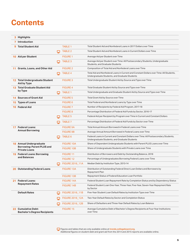### **Contents**

|     | 3 Highlights                                               |    |                        |                                                                                                                                          |
|-----|------------------------------------------------------------|----|------------------------|------------------------------------------------------------------------------------------------------------------------------------------|
|     | <b>7</b> Introduction                                      |    |                        |                                                                                                                                          |
| 9   | <b>Total Student Aid</b>                                   |    | <b>TABLE 1</b>         | Total Student Aid and Nonfederal Loans in 2017 Dollars over Time                                                                         |
|     |                                                            | ↳  | <b>TABLE 2</b>         | Total Student Aid and Nonfederal Loans in Current Dollars over Time                                                                      |
|     | 10 Aid per Student                                         |    | <b>FIGURE 1</b>        | Average Aid per Student over Time                                                                                                        |
|     |                                                            | ພ  | <b>TABLE 3</b>         | Average Aid per Student over Time: All Postsecondary Students, Undergraduate<br>Students, and Graduate Students                          |
| 11. | <b>Grants, Loans, and Other Aid</b>                        |    | <b>FIGURE 2</b>        | Composition of Total Aid and Nonfederal Loans over Time                                                                                  |
|     |                                                            | ⋤  | <b>TABLE 4</b>         | Total Aid and Nonfederal Loans in Current and Constant Dollars over Time: All Students,<br>Undergraduate Students, and Graduate Students |
|     | 12 Total Undergraduate Student<br>Aid by Type              |    | <b>FIGURE 3</b>        | Total Undergraduate Student Aid by Source and Type over Time                                                                             |
|     | 13 Total Graduate Student Aid                              |    | <b>FIGURE 4</b>        | Total Graduate Student Aid by Source and Type over Time                                                                                  |
|     | by Type                                                    | ↳  | <b>TABLE 1</b>         | Total Undergraduate and Graduate Student Aid by Source and Type over Time                                                                |
|     | <b>14 Sources of Grant Aid</b>                             |    | <b>FIGURE 5</b>        | Total Grant Aid by Source over Time                                                                                                      |
| 15  | <b>Types of Loans</b>                                      |    | <b>FIGURE 6</b>        | Total Federal and Nonfederal Loans by Type over Time                                                                                     |
| 16. | <b>Federal Aid</b>                                         |    | <b>FIGURE 7</b>        | Number of Recipients by Federal Aid Program, 2017-18                                                                                     |
|     |                                                            |    | <b>FIGURE 8</b>        | Percentage Distribution of Federal Aid Funds by Sector, 2016-17                                                                          |
|     |                                                            | ⋤  | <b>TABLE 5</b>         | Federal Aid per Recipient by Program over Time in Current and Constant Dollars                                                           |
|     |                                                            | ⊏  | TABLE 7                | Percentage Distribution of Federal Aid Funds by Sector over Time                                                                         |
|     | 17 Federal Loans:<br><b>Annual Borrowing</b>               |    | <b>FIGURE 9A</b>       | Total Annual Amount Borrowed in Federal Loans over Time                                                                                  |
|     |                                                            |    | <b>FIGURE 9B</b>       | Average Annual Amount Borrowed in Federal Loans over Time                                                                                |
|     |                                                            |    | TABLE 6                | Federal Loans in Current and Constant Dollars over Time: All Postsecondary Students,<br>Undergraduate Students, and Graduate Students    |
|     | <b>18</b> Annual Undergraduate                             |    | <b>FIGURE 10A</b>      | Share of Dependent Undergraduate Students with Parent PLUS Loans over Time                                                               |
|     | <b>Borrowing: Parent PLUS and</b><br><b>Private Loans</b>  |    | <b>FIGURE 10B</b>      | Share of Undergraduate Students with Private Loans over Time                                                                             |
|     | 19 Federal Loans: Borrowing                                |    | <b>FIGURE 11</b>       | Distribution of Borrowers and Debt by Outstanding Balance, 2018                                                                          |
|     | and Balances                                               |    | FIGURE 12              | Percentage of Undergraduates Borrowing Federal Loans over Time                                                                           |
|     |                                                            |    | FIGURE 2016_11A        | Median Debt by Institution Type, 2013-14                                                                                                 |
| 20. | <b>Outstanding Federal Loans</b>                           |    | <b>FIGURE 13A</b>      | Distribution of Outstanding Federal Direct Loan Dollars and Borrowers by<br>Repayment Plan                                               |
|     |                                                            |    | <b>FIGURE 13B</b>      | Repayment Status of Federal Education Loan Portfolio                                                                                     |
|     | 21 Federal Loans:                                          |    | FIGURE 14A             | Federal Student Loan Repayment Rate by Completion Status and by Dependency Status                                                        |
|     | <b>Repayment Rates</b>                                     |    | FIGURE 14B             | Federal Student Loan One-Year, Three-Year, Five-Year, Seven-Year Repayment Rate<br>by Sector                                             |
|     | <b>Default Rates</b>                                       | پا | FIGURE 2016_11B        | Five-Year Student Loan Default Rates by Institution Type over Time                                                                       |
|     |                                                            | ⋤  | <b>FIGURE 2016 12A</b> | Two-Year Default Rates by Sector and Completion Status                                                                                   |
|     |                                                            | ⋤  | FIGURE 2016_12B        | Share of Defaulters and Three-Year Default Rates by Loan Balance                                                                         |
|     | 22 Cumulative Debt:<br><b>Bachelor's Degree Recipients</b> |    | FIGURE 15              | Average Cumulative Debt of Bachelor's Degree Recipients at Four-Year Institutions<br>over Time                                           |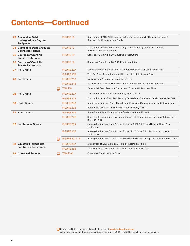### **Contents—Continued**

|     | 23 Cumulative Debt:<br><b>Undergraduate Degree</b><br><b>Recipients</b> | <b>FIGURE 16</b>  | Distribution of 2015-16 Degree or Certificate Completers by Cumulative Amount<br>Borrowed for Undergraduate Study |
|-----|-------------------------------------------------------------------------|-------------------|-------------------------------------------------------------------------------------------------------------------|
|     | 24 Cumulative Debt: Graduate<br><b>Degree Recipients</b>                | <b>FIGURE 17</b>  | Distribution of 2015-16 Advanced Degree Recipients by Cumulative Amount<br><b>Borrowed for Graduate Study</b>     |
|     | 25 Sources of Grant Aid:<br><b>Public Institutions</b>                  | <b>FIGURE 18</b>  | Sources of Grant Aid in 2015-16: Public Institutions                                                              |
|     | 26 Sources of Grant Aid:<br><b>Private Institutions</b>                 | <b>FIGURE 19</b>  | Sources of Grant Aid in 2015-16: Private Institutions                                                             |
| 27  | <b>Pell Grants</b>                                                      | <b>FIGURE 20A</b> | Undergraduate Enrollment and Percentage Receiving Pell Grants over Time                                           |
|     |                                                                         | <b>FIGURE 20B</b> | Total Pell Grant Expenditures and Number of Recipients over Time                                                  |
| 28  | <b>Pell Grants</b>                                                      | FIGURE 21A        | Maximum and Average Pell Grants over Time                                                                         |
|     |                                                                         | FIGURE 21B        | Maximum Pell Grant and Published Prices at Four-Year Institutions over Time                                       |
|     |                                                                         | <b>TABLE 8</b>    | Federal Pell Grant Awards in Current and Constant Dollars over Time                                               |
| 29  | <b>Pell Grants</b>                                                      | <b>FIGURE 22A</b> | Distribution of Pell Grant Recipients by Age, 2016-17                                                             |
|     |                                                                         | <b>FIGURE 22B</b> | Distribution of Pell Grant Recipients by Dependency Status and Family Income, 2016-17                             |
| 30  | <b>State Grants</b>                                                     | <b>FIGURE 23A</b> | Need-Based and Non-Need-Based State Grants per Undergraduate Student over Time                                    |
|     |                                                                         | <b>FIGURE 23B</b> | Percentage of State Grant Based on Need by State, 2016-17                                                         |
| 31. | <b>State Grants</b>                                                     | <b>FIGURE 24A</b> | State Grant Aid per Undergraduate Student by State, 2016-17                                                       |
|     |                                                                         | FIGURE 24B        | State Grant Expenditures as a Percentage of Total State Support for Higher Education by<br>State, 2016-17         |
| 32  | <b>Institutional Grants</b>                                             | <b>FIGURE 25A</b> | Average Institutional Grant Aid per Student in 2015-16: Private Nonprofit Four-Year<br>Institutions               |
|     |                                                                         | <b>FIGURE 25B</b> | Average Institutional Grant Aid per Student in 2015-16: Public Doctoral and Master's<br>Institutions              |
|     |                                                                         | FIGURE 2017 21    | Average Institutional Grant Aid per First-Time Full-Time Undergraduate Student over Time                          |
| 33  | <b>Education Tax Credits</b>                                            | <b>FIGURE 26A</b> | Distribution of Education Tax Credits by Income over Time                                                         |
|     | and Tuition Deductions                                                  | <b>FIGURE 26B</b> | Total Education Tax Credits and Tuition Deductions over Time                                                      |
|     | <b>Notes and Sources</b>                                                | <b>TABLE A1</b>   | Consumer Price Index over Time                                                                                    |

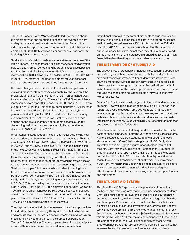### <span id="page-6-0"></span>**Introduction**

*Trends in Student Aid 2018* provides detailed information about the different types and amounts of financial aid awarded to both undergraduate and graduate students over time. Some of the indicators in the report focus on total amounts of aid; others focus on aid per student. Both of these perspectives are important—as is distinguishing between them.

Total amounts of aid disbursed can capture attention because of the large numbers. This phenomenon explains the widespread attention paid to the total amount of outstanding student debt since it passed the \$1 trillion mark. Similarly, when total Pell Grant expenditures increased from \$20.4 billion (in 2017 dollars) in 2008-09 to \$40.1 billion in 2010-11, members of Congress and others focused on federal spending became concerned about the trajectory of the program.

However, changes over time in enrollment levels and patterns can make it difficult to interpret these aggregate numbers. Even if the typical student gets the same amount of aid, if enrollment grows, total spending on aid will grow. The number of Pell Grant recipients increased by more than 50% between 2008-09 and 2010-11—from 6.2 million to 9.3 million. This change, combined with a 30% increase in the average award from \$3,310 (in 2017 dollars) to \$4,300, generated a doubling of total Pell expenditures. As the economy recovered from the Great Recession, total enrollment declined, and the financial circumstances of students became stronger, diminishing their financial need. As a result, Pell expenditures declined to \$28.2 billion in 2017-18.

Understanding student debt and its impact requires knowing how much students are borrowing in the aggregate each year. That total rose from \$49.3 billion (in 2017 dollars) in 1997-98 to \$107.0 billion in 2007-08 and to \$127.7 billion in 2010-11, but declined in each of the next seven years, reaching \$105.5 billion in 2017-18. But it also requires taking into account enrollment changes. The rise and fall of total annual borrowing during and after the Great Recession does reveal a real change in students' borrowing behavior, but also results from fluctuations in the number of students going to school. Total borrowing per full-time equivalent student (including both federal and nonfederal loans for borrowers and nonborrowers) rose from \$4,720 (in 2017 dollars) in 1997-98 to \$7,870 in 2007-08 and to \$8,120 in 2010-11, before declining for seven years to \$7,250 in 2017-18. Total borrowing was more than two and a half times as high in 2010-11 as in 1997-98. But borrowing per student was about 70% higher as enrollment rose by 50% over these years. Because enrollment has fallen since 2010-11, the 11% decline in borrowing per FTE student between 2010-11 and 2017-18 is smaller than the 17% decline in total borrowing over these years.

The purpose of student aid is to increase educational opportunities for individual students. Keeping this goal in mind helps to interpret and evaluate the information in *Trends in Student Aid*, which is more meaningful if viewed together with the companion publication, *Trends in College Pricing*. The rapid upward trend in published prices reported there makes increases in student aid more critical.

Institutional grant aid, in the form of discounts to students, is most closely linked with tuition prices. The data in this report reveal that institutional grant aid rose from 40% of total grant aid in 2012-13 to 46% in 2017-18. This means on one hand that the increases in published prices have less impact than they otherwise would, and on the other hand that the increases in grant aid do less to diminish financial barriers than they would in a stable price environment.

### **THE DISTRIBUTION OF STUDENT AID**

The effectiveness of student aid in increasing educational opportunities depends largely on how the funds are distributed to students in different financial circumstances. For students with limited resources, grant aid makes pursuing postsecondary education possible. For others, grant aid makes going to a particular institution or type of institution feasible. For the remaining students, aid is a pure transfer, reducing the price of the educational paths they would take even without assistance.

Federal Pell Grants are carefully targeted to low- and moderate-income students. However, this aid declined from 53% to 47% of non-loan federal aid over the decade from 2007-08 to 2017-18, as aid to veterans has grown. Tax benefits, a much less targeted form of aid that disburses about a quarter of its funds to students from households with incomes between \$100,000 and \$180,000, account for more than one quarter of non-loan federal aid.

More than three-quarters of state grant dollars are allocated on the basis of financial need, but patterns vary considerably across states. Half of all states considered students' financial circumstances in allocating at least 95% of their state grant aid in 2016-17, while 15 states considered these circumstances for less than half of their aid. Data from the 2016 National Postsecondary Student Aid Study included in this report show that in 2015-16, public doctoral universities distributed 62% of their institutional grant aid without regard to students' financial need; at public master's universities, it was 71%. Monitoring the use of need-based and non-need-based grant aid by states and institutions is critical to ensuring the effectiveness of these funds in increasing educational opportunities and attainment.

### **THE STUDENT AID SYSTEM**

*Trends in Student Aid* reports on a complex array of grant, loan, tax-based, and work programs that support postsecondary students. Grant aid and tax benefits lower the overall price of education for students and families, making the net price of college less than the published price. Education loans do not lower the price, but they do make it possible to spread payments out over time. The Federal Work-Study program is small relative to other federal programs: only 601,000 students benefited from the \$960 million federal allocation to this program in 2017-18. From the student perspective, these dollars are compensation for their work, not financial assistance. Work-Study earnings frequently replace earnings from other work, but may increase the employment opportunities available for students.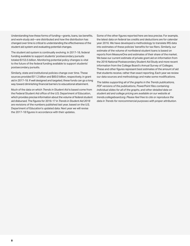Understanding how these forms of funding—grants, loans, tax benefits, and work-study aid—are distributed and how the distribution has changed over time is critical to understanding the effectiveness of the student aid system and evaluating potential changes.

The student aid system is continually evolving. In 2017-18, federal funding available to support students' postsecondary pursuits totaled \$153.5 billion. Monitoring potential policy changes is vital to the future of the federal funding available to support students' postsecondary pursuits.

Similarly, state and institutional policies change over time. These sources provided \$11.2 billion and \$60.0 billion, respectively, in grant aid in 2017-18. If well designed and targeted, these funds can go a long way toward diminishing financial barriers to educational attainment.

Much of the data on which *Trends in Student Aid* is based come from the Federal Student Aid office of the U.S. Department of Education, which provides precise information about the volume of federal student aid disbursed. The figures for 2016-17 in *Trends in Student Aid 2018*  are revisions of the numbers published last year, based on the U.S. Department of Education's updated data. Next year we will revise the 2017-18 figures in accordance with their updates.

Some of the other figures reported here are less precise. For example, the latest data on federal tax credits and deductions are for calendar year 2016. We have developed a methodology to translate IRS data into estimates of these policies' benefits for tax filers. Similarly, our estimate of the volume of nonfederal student loans is based on reports from MeasureOne and estimates of their share of the market. We base our current estimate of private grant aid on information from the 2016 National Postsecondary Student Aid Study and more recent information from the College Board's Annual Survey of Colleges. These and other figures represent best estimates of the amount of aid that students receive, rather than exact reporting. Each year we review our data sources and methodology and make some modifications.

*The tables supporting all of the graphs in the Trends publications, PDF versions of the publications, PowerPoint files containing individual slides for all of the graphs, and other detailed data on student aid and college pricing are available on our website at trends.collegeboard.org. Please feel free to cite or reproduce the data in Trends for noncommercial purposes with proper attribution*.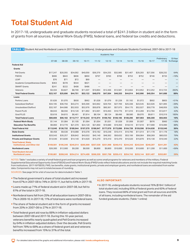### <span id="page-8-0"></span>**Total Student Aid**

In 2017-18, undergraduate and graduate students received a total of \$241.3 billion in student aid in the form of grants from all sources, Federal Work-Study (FWS), federal loans, and federal tax credits and deductions.

| <b>TABLE 1</b> Student Aid and Nonfederal Loans in 2017 Dollars (in Millions), Undergraduate and Graduate Students Combined, 2007-08 to 2017-18 |           |               |           |           |                          |           |           |           |           |           |                          |                     |
|-------------------------------------------------------------------------------------------------------------------------------------------------|-----------|---------------|-----------|-----------|--------------------------|-----------|-----------|-----------|-----------|-----------|--------------------------|---------------------|
|                                                                                                                                                 |           | Academic Year |           |           |                          |           |           |           |           |           |                          |                     |
|                                                                                                                                                 | $07 - 08$ | 08-09         | $09-10$   | $10 - 11$ | $11 - 12$                | $12 - 13$ | $13 - 14$ | $14 - 15$ | $15 - 16$ | $16 - 17$ | Preliminary<br>$17 - 18$ | 10-Year<br>% Change |
| <b>Federal Aid</b>                                                                                                                              |           |               |           |           |                          |           |           |           |           |           |                          |                     |
| Grants                                                                                                                                          |           |               |           |           |                          |           |           |           |           |           |                          |                     |
| <b>Pell Grants</b>                                                                                                                              | \$17.247  | \$20,355      | \$34,092  | \$40,059  | \$36,379                 | \$34,255  | \$32,985  | \$31,467  | \$29,293  | \$27,356  | \$28,232                 | 64%                 |
| <b>FSEOG</b>                                                                                                                                    | \$906     | \$843         | \$836     | \$850     | \$797                    | \$783     | \$768     | \$753     | \$752     | \$746     | \$733                    | $-19%$              |
| LEAP                                                                                                                                            | \$76      | \$71          | \$72      | \$69      | —                        | —         |           |           |           |           | —                        |                     |
| Academic Competitiveness Grants                                                                                                                 | \$363     | \$378         | \$544     | \$621     |                          |           |           |           |           |           |                          |                     |
| <b>SMART Grants</b>                                                                                                                             | \$241     | \$222         | \$408     | \$486     | $\overline{\phantom{0}}$ |           |           |           |           |           |                          |                     |
| Veterans                                                                                                                                        | \$3,334   | \$3,827       | \$8,799   | \$11,037  | \$10.894                 | \$12,466  | \$12,581  | \$12,694  | \$12,952  | \$12,252  | \$12,723                 | 282%                |
| <b>Total Federal Grants</b>                                                                                                                     | \$22,167  | \$25,696      | \$44,751  | \$53,122  | \$48,070                 | \$47,504  | \$46,333  | \$44,914  | \$42,996  | \$40,354  | \$41,688                 | 88%                 |
| Loans                                                                                                                                           |           |               |           |           |                          |           |           |           |           |           |                          |                     |
| Perkins Loans                                                                                                                                   | \$1,626   | \$1,070       | \$930     | \$962     | \$1,028                  | \$1,079   | \$1,228   | \$1,192   | \$1,072   | \$902     | \$803                    | $-51%$              |
| <b>Subsidized Stafford</b>                                                                                                                      | \$34,195  | \$36,756      | \$43,274  | \$45,599  | \$43,962                 | \$29,704  | \$27,709  | \$25,338  | \$23,545  | \$22,026  | \$21,005                 | $-39%$              |
| <b>Unsubsidized Stafford</b>                                                                                                                    | \$32,187  | \$44,986      | \$52,933  | \$52,976  | \$50,878                 | \$60,361  | \$57,975  | \$54,175  | \$52,027  | \$50,778  | \$48,959                 | 52%                 |
| <b>Parent PLUS</b>                                                                                                                              | \$9,043   | \$8,556       | \$10,120  | \$11,892  | \$12,001                 | \$10,493  | \$10,776  | \$11,010  | \$12,269  | \$12,784  | \$12,817                 | 42%                 |
| <b>Grad PLUS</b>                                                                                                                                | \$3,618   | \$4,815       | \$6,461   | \$7,814   | \$8,104                  | \$8,124   | \$8,496   | \$8,580   | \$9,070   | \$9,811   | \$10,319                 | 185%                |
| <b>Total Federal Loans</b>                                                                                                                      | \$80,669  | \$96,182      | \$113,717 | \$119,243 | \$115,974                | \$109,762 | \$106,185 | \$100,296 | \$97,983  | \$96,300  | \$93,903                 | 16%                 |
| <b>Federal Work-Study</b>                                                                                                                       | \$1,144   | \$1,084       | \$1,105   | \$1,094   | \$1,054                  | \$1,031   | \$1,028   | \$1,008   | \$1,007   | \$976     | \$960                    | $-16%$              |
| <b>Education Tax Benefits</b>                                                                                                                   | \$9,060   | \$13,770      | \$21,370  | \$24,120  | \$21,850                 | \$19,680  | \$19,350  | \$18,510  | \$17,610  | \$17,000  | \$16,990                 | 88%                 |
| <b>Total Federal Aid</b>                                                                                                                        | \$113,040 | \$136,732     | \$180,944 | \$197,579 | \$186,947                | \$177,978 | \$172,896 | \$164,728 | \$159,596 | \$154,630 | \$153,540                | 36%                 |
| <b>State Grants</b>                                                                                                                             | \$9,458   | \$9,530       | \$10,088  | \$10,378  | \$10,182                 | \$10,248  | \$10,414  | \$10,796  | \$11,014  | \$11,178  | \$11,178                 | 18%                 |
| <b>Institutional Grants</b>                                                                                                                     | \$33,543  | \$35,257      | \$39,842  | \$43,032  | \$45,140                 | \$48,362  | \$50,632  | \$53,199  | \$56,064  | \$58,269  | \$60,033                 | 79%                 |
| <b>Private and Employer Grants</b>                                                                                                              | \$13,540  | \$13,830      | \$14,140  | \$14,920  | \$15,270                 | \$15,410  | \$15,470  | \$15,520  | \$15,870  | \$16,130  | \$16,540                 | 22%                 |
| <b>Total Federal, State,</b><br><b>Institutional, and Other Aid</b>                                                                             | \$169,581 | \$195,349     | \$245,014 | \$265,909 | \$257,539                | \$251,998 | \$249,412 | \$244,243 | \$242,544 | \$240,207 | \$241,291                | 42%                 |
| <b>Nonfederal Loans</b>                                                                                                                         | \$26,300  | \$12,900      | \$9,200   | \$8,500   | \$8,800                  | \$9,800   | \$10,000  | \$10,500  | \$10,600  | \$11,200  | \$11,600                 | $-56%$              |
| <b>Total Student Aid and</b><br><b>Nonfederal Loans</b>                                                                                         | \$195,881 | \$208,249     | \$254,214 | \$274,409 | \$266,339                | \$261,798 | \$259,412 | \$254,743 | \$253,144 | \$251,407 | \$252,891                | 29%                 |

NOTES: Table 1 excludes a variety of small federal grant and loan programs as well as some small programs for veterans and members of the military. Federal Supplemental Educational Opportunity Grant (FSEOG) and Federal Work-Study (FWS) funds reflect federal allocations and do not include the required matching funds from institutions. 2017-18 FSEOG, FWS, tax benefits, state grants, institutional grants, private and employer grants, and nonfederal loans are estimated from earlier data. Components may not sum to totals because of rounding.

SOURCES: See page 34 for a list of sources for data included in Table 1.

- **The federal government's share of total student aid increased** from 67% in 2007-08 to 74% in 2010-11, but fell to 64% in 2017-18. **ALSO IMPORTANT:**
- Loans made up 71% of federal student aid in 2007-08, but fell to 61% of the total in 2017-18.
- Nonfederal loans fell from 25% of all education loans in 2007-08 to 7% in 2009-10. In 2017-18, 11% of total loans were nonfederal loans.
- **The share of federal student aid in the form of grants increased** from 20% in 2007-08 to 27% in 2017-18.
- Total federal grant aid rose by 88% in inflation-adjusted dollars between 2007-08 and 2017-18. During this 10-year period, veterans benefits nearly quadrupled and Pell Grants increased by 64% in inflation-adjusted dollars. Over the decade, Pell Grants fell from 78% to 68% as a share of federal grant aid and veterans benefits increased from 15% to 31% of the total.

In 2017-18, undergraduate students received 76% (\$184.1 billion) of total student aid, including 95% of federal grants and 60% of federal loans. They received 86% of total grant aid from all sources and 63% of all loans, including nonfederal loans. The remainder of the aid funded graduate students. (Table 1 online)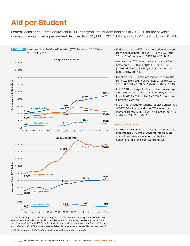## <span id="page-9-0"></span>**Aid per Student**

Federal loans per full-time equivalent (FTE) undergraduate student declined in 2017-18 for the seventh consecutive year. Loans per student declined from \$5,830 (in 2017 dollars) in 2010-11 to \$4,510 in 2017-18.



NOTES: Loans reported here include only federal loans to students and parents. Grants from all sources are included. "Other Aid" includes federal education tax credits and deductions and Federal Work-Study (FWS). Undergraduate and graduate shares of some forms of aid were estimated using NPSAS data and were updated. Dollar values are rounded to the nearest \$10.

SOURCE: *Trends in Student Aid* website (trends.collegeboard.org), Table 3.

- Federal loans per FTE graduate student declined from a peak of \$19,180 in 2010-11 to \$17,340 in 2014-15 before rising to \$17,990 in 2017-18.
- **Grant aid per FTE undergraduate rose by 42%** between 2007-08 and 2012-13, from \$5,560 (in 2017 dollars) to \$7,890, and by another 14% to \$8,970 by 2017-18.
- Grant aid per FTE graduate student rose by 10%, from \$7,230 (in 2017 dollars) in 2007-08 to \$7,970 in 2012-13, and by another 6% to \$8,460 in 2017-18.
- In 2017-18, undergraduates received an average of \$14,790 in financial aid per FTE student, an increase from \$7,780 (in 2017 dollars) in 1997-98 and from \$10,670 in 2007-08.
- In 2017-18, graduate students received an average of \$27,230 in financial aid per FTE student, an increase from \$15,550 (in 2017 dollars) in 1997-98 and from \$24,020 in 2007-08.

#### **ALSO IMPORTANT:**

In 2017-18, 95% of the "Other Aid" for undergraduate students and 94% of the "Other Aid" for graduate students were from education tax credits and deductions. The remainder was from FWS.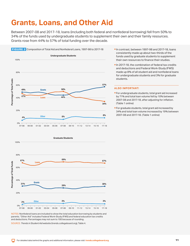### <span id="page-10-0"></span>**Grants, Loans, and Other Aid**

Between 2007-08 and 2017-18, loans (including both federal and nonfederal borrowing) fell from 50% to 34% of the funds used by undergraduate students to supplement their own and their family resources. Grants rose from 44% to 57% of total funding over the decade.



- In contrast, between 1997-98 and 2017-18, loans consistently made up about two-thirds of the funds used by graduate students to supplement their own resources to finance their studies.
- In 2017-18, the combination of federal tax credits and deductions and Federal Work-Study (FWS) made up 8% of all student aid and nonfederal loans for undergraduate students and 3% for graduate students.

#### **ALSO IMPORTANT:**

- For undergraduate students, total grant aid increased by 71% and total loan volume fell by 10% between 2007-08 and 2017-18, after adjusting for inflation. (Table 1 online)
- **For graduate students, total grant aid increased by** 34% and total loan volume increased by 19% between 2007-08 and 2017-18. (Table 1 online)



NOTES: Nonfederal loans are included to show the total education borrowing by students and parents. "Other Aid" includes Federal Work-Study (FWS) and federal education tax credits and deductions. Percentages may not sum to 100 because of rounding.

SOURCE: *Trends in Student Aid* website (trends.collegeboard.org), Table 4.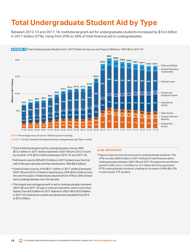## <span id="page-11-0"></span>**Total Undergraduate Student Aid by Type**

Between 2012-13 and 2017-18, institutional grant aid for undergraduate students increased by \$10.4 billion in 2017 dollars (27%), rising from 20% to 26% of total financial aid to undergraduates.



FIGURE 3 Total Undergraduate Student Aid in 2017 Dollars by Source and Type (in Billions), 1997-98 to 2017-18

NOTE: Percentages may not sum to 100 because of rounding.

SOURCE: *Trends in Student Aid* website (trends.collegeboard.org), Table 1 online.

- Total institutional grant aid to undergraduates rose by 48% (\$12.4 billion in 2017 dollars) between 2007-08 and 2012-13 and by another 27% (\$10.4 billion) between 2012-13 and 2017-18.
- Pell Grants rose by 99% (\$17.0 billion in 2017 dollars) over the first half of the past decade and then declined by 18% (\$6.0 billion).
- Federal loans rose by 41% (\$21.1 billion in 2017 dollars) between 2007-08 and 2012-13 before declining by 23% (\$16.4 billion) over the next five years. Federal loans declined from 41% to 30% of total aid to undergraduates over the decade.
- **The largest percentage growth in aid to undergraduates between** 2007-08 and 2017-18 was in veterans benefits, which more than tripled, from \$3.0 billion (in 2017 dollars) in 2007-08 to \$10.8 billion in 2017-18. Federal tax credits and deductions doubled from \$7.6 to \$15.5 billion.

#### **ALSO IMPORTANT:**

 Figure 3 reports total aid amounts to undergraduate students. The 47% increase (\$58.6 billion in 2017 dollars) in total financial aid to undergraduates between 2007-08 and 2017-18 supported enrollment growth of 6%, from 11.8 million to 12.4 million full-time equivalent (FTE) undergraduate students, yielding an increase of 39% (\$4,120) in total aid per FTE student.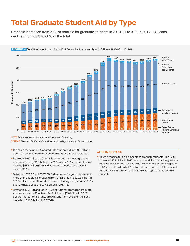## <span id="page-12-0"></span>**Total Graduate Student Aid by Type**

Grant aid increased from 27% of total aid for graduate students in 2010-11 to 31% in 2017-18. Loans declined from 68% to 66% of the total.



NOTE: Percentages may not sum to 100 because of rounding.

SOURCE: *Trends in Student Aid* website (trends.collegeboard.org), Table 1 online.

- Grant aid made up 35% of graduate student aid in 1999-00 and 2000-01, when loans were between 60% and 61% of the total.
- Between 2012-13 and 2017-18, institutional grants to graduate students rose by \$1.3 billion in 2017 dollars (13%). Federal loans rose by \$589 million (2%) and veterans benefits rose by \$432 million (30%).
- Between 1997-98 and 2007-08, federal loans for graduate students more than doubled, increasing from \$13.6 billion to \$29.2 billion in 2017 dollars. Federal loans for these students grew by another 29% over the next decade to \$37.8 billion in 2017-18.
- Between 1997-98 and 2007-08, institutional grants for graduate students rose by 55%, from \$4.9 billion to \$7.6 billion in 2017 dollars. Institutional grants grew by another 49% over the next decade to \$11.3 billion in 2017-18.

### **ALSO IMPORTANT:**

 Figure 4 reports total aid amounts to graduate students. The 30% increase (\$13.1 billion in 2017 dollars) in total financial aid to graduate students between 2007-08 and 2017-18 supported enrollment growth of 14%, from 1.8 million to 2.1 million full-time equivalent (FTE) graduate students, yielding an increase of 13% (\$3,210) in total aid per FTE student.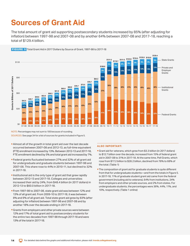### <span id="page-13-0"></span>**Sources of Grant Aid**

The total amount of grant aid supporting postsecondary students increased by 85% (after adjusting for inflation) between 1997-98 and 2007-08 and by another 64% between 2007-08 and 2017-18, reaching a total of \$129.4 billion.



FIGURE 5 Total Grant Aid in 2017 Dollars by Source of Grant, 1997-98 to 2017-18

NOTE: Percentages may not sum to 100 because of rounding. SOURCES: See page 34 for a list of sources for grants included in Figure 5.

- Almost all of the growth in total grant aid over the last decade occurred between 2007-08 and 2012-13, as full-time equivalent (FTE) enrollment increased by 13%. Between 2012-13 and 2017-18, FTE enrollment declined by 5% and total grant aid increased by 7%.
- Federal grants fluctuated between 27% and 32% of all grant aid for undergraduate and graduate students between 1997-98 and 2007-08. This share rose to 44% in 2010-11, but declined to 32% in 2017-18.
- **Institutional aid is the only type of grant aid that grew rapidly** between 2012-13 and 2017-18. Colleges and universities increased their aid by 24%, from \$48.4 billion (in 2017 dollars) in 2012-13 to \$60.0 billion in 2017-18.
- From 1997-98 to 2007-08, state grant aid was between 12% and 13% of all grant aid. From 2009-10 to 2017-18, it was between 8% and 9% of all grant aid. Total state grant aid grew by 83% (after adjusting for inflation) between 1997-98 and 2007-08 and by another 18% over the decade ending in 2017-18.
- 12% and 17% of total grant aid to postsecondary students for the entire two decades from 1997-98 through 2017-18 and were **Grants from employers and other private sources were between** 13% of the total in 2017-18.

- Grant aid for veterans, which grew from \$3.3 billion (in 2017 dollars) to \$12.7 billion over the decade, increased from 15% of federal grant aid in 2007-08 to 31% in 2017-18. At the same time, Pell Grants, which rose from \$17.2 billion to \$28.2 billion, declined from 78% to 68% of the total. (Table 1)
- **The composition of grant aid for graduate students is quite different** from that for undergraduate students—and from the totals in Figure 5. In 2017-18, 11% of graduate student grant aid came from the federal government (including aid to veterans), 64% from institutions, 24% from employers and other private sources, and 2% from states. For undergraduate students, the percentages were 36%, 44%, 11%, and 10%, respectively. (Table 1 online)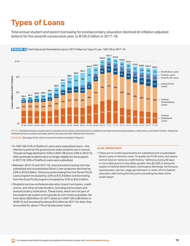## <span id="page-14-0"></span>**Types of Loans**

Total annual student and parent borrowing for postsecondary education declined (in inflation-adjusted dollars) for the seventh consecutive year, to \$105.5 billion in 2017-18.



FIGURE 6 Total Federal and Nonfederal Loans in 2017 Dollars by Type of Loan, 1997-98 to 2017-18

NOTES: Nonfederal loans include loans to students from states and institutions in addition to private loans issued by banks, credit unions, and other lenders. Values for nonfederal loans are best estimates and are less precise than federal loan amounts.

SOURCES: See page 34 for a list of sources for loans included in Figure 6.

- In 1997-98, 61% of Stafford Loans were subsidized loans—the interest is paid by the government while students are in school. This percentage declined to 52% in 2007-08 and to 33% in 2012-13, when graduate students were no longer eligible for the program. In 2017-18, 30% of Stafford Loans were subsidized.
- Between 2012-13 and 2017-18, total annual borrowing from the subsidized and unsubsidized Direct Loan programs declined by 22% to \$70.0 billion. Total annual borrowing from the Parent PLUS Loan program increased by 22% to \$12.8 billion and borrowing from the Grad PLUS program increased by 27% to \$10.3 billion.
- Students borrow nonfederal education loans from banks, credit unions, and other private lenders, including some states and postsecondary institutions. These loans, which are not part of the student aid system and typically do not involve subsidies, fell from about \$26 billion (in 2017 dollars) in 2007-08 to \$9 billion in 2009-10, but increased to almost \$12 billion by 2017-18, when they accounted for about 11% of all education loans.

#### **ALSO IMPORTANT:**

**There are no credit requirements for subsidized and unsubsidized** Direct Loans or Perkins Loans. To qualify for PLUS loans, borrowers cannot have an "adverse credit history," defined as being 90 days or more delinquent on any debts greater than \$2,085 or being the subject of default determination, bankruptcy discharge, foreclosure, repossession, tax lien, wage garnishment, or write-off of a federal education debt during the five years preceding the date of the credit report.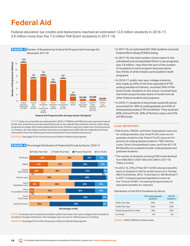### <span id="page-15-0"></span>**Federal Aid**

Federal education tax credits and deductions reached an estimated 12.0 million students in 2016-17, 5.0 million more than the 7.0 million Pell Grant recipients in 2017-18.



NOTES: Data on tax benefits are estimated for 2016-17. FSEOG and FWS amounts represent federal funds only. Institutions provide matching funds so the awards that students receive under these programs are larger than these federal aid amounts. Perkins Loans are made from revolving funds on campus. No new federal outlays have been provided since 2005-06, but originally the funds came partly from the federal government and partly from institutional sources.

SOURCES: See page 34 for a list of sources of data on federal aid programs.

### FIGURE 8 Percentage Distribution of Federal Aid Funds by Sector, 2016-17



NOTES: Excludes aid to students enrolled in public less-than-two-year colleges and to students enrolled in foreign institutions. Percentages may not sum to 100 because of rounding.

SOURCES: See page 34 for a list of sources of data on federal aid programs.

- In 2017-18, an estimated 601,000 students received Federal Work-Study (FWS) funding.
- In 2017-18, the total number of borrowers in the subsidized and unsubsidized Direct Loan programs was 7.9 million—less than the sum of the number of recipients in each program because about two-thirds of all borrowers participated in both programs.
- In 2016-17, public two-year college students, who made up 32% of full-time equivalent (FTE) undergraduate enrollment, received 34% of Pell Grant funds. Students in this sector received less than their proportionate share of funds from all other federal student aid programs.
- In 2016-17, students in the private nonprofit sector accounted for 18% of undergraduate and 22% of total postsecondary FTE enrollment. They received 68% of Grad PLUS, 48% of Perkins Loans, and 41% of FWS funds.

#### **ALSO IMPORTANT:**

- parents of undergraduate students. FWS, Perkins Pell Grants, FSEOG, and Direct Subsidized Loans are for undergraduates only. Grad PLUS Loans are for graduate students only. Parent PLUS Loans are for Loans, Direct Unsubsidized Loans, and Post-9/11 GI Bill benefits are available to both undergraduate and graduate students.
- **The number of students receiving FWS funds declined** from 698,000 in 2007-08 to 601,000 in 2017-18. (Table 5 online)
- In 2012-13, 41% of Post-9/11 GI Bill veterans benefits went to students in the for-profit sector (U.S. Senate HELP Committee, 2014, "Is the New G.I. Bill Working?"). In 2017, Congress passed legislation known as the "Forever GI Bill," increasing the generosity of education benefits for veterans.

#### Distribution of Fall 2016 Enrollment by Sector

|                             | <b>FTE Undergraduate</b><br><b>Students</b> | AII FTE<br><b>Students</b> |
|-----------------------------|---------------------------------------------|----------------------------|
| Public Two-Year             | 32%                                         | 27%                        |
| Public Four-Year            | 42%                                         | 43%                        |
| Private Nonprofit Four-Year | 18%                                         | 22%                        |
| For-Profit                  | 7%                                          | 7%                         |

SOURCE: NCES, IPEDS Enrollment data.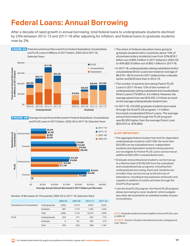## <span id="page-16-0"></span>**Federal Loans: Annual Borrowing**

After a decade of rapid growth in annual borrowing, total federal loans to undergraduate students declined by 23% between 2012-13 and 2017-18 after adjusting for inflation, and federal loans to graduate students rose by 2%.



 FIGURE 9B Average Annual Amount Borrowed in Federal Subsidized, Unsubsidized, and PLUS Loans in 2017 Dollars, 2002-03 to 2017-18, Selected Years



#### Number of Borrowers (in Thousands), 2002-03 to 2017-18, Selected Years

|                             |               | $2002 - 03$ | 2007-08 | 2012-13 | 2017-18 |
|-----------------------------|---------------|-------------|---------|---------|---------|
| Subsidized and Unsubsidized | Undergraduate | 5,003       | 6.473   | 9.024   | 6.504   |
|                             | Graduate      | 881         | 1.272   | 1.495   | 1.446   |
|                             | Total         | 5,884       | 7.745   | 10.519  | 7.950   |
| <b>PLUS</b>                 | Undergraduate | 563         | 671     | 652     | 779     |
|                             | Graduate      | 0           | 181     | 346     | 416     |
|                             | Total         | 563         | 852     | 998     | 1.195   |

- **The share of federal education loans going to** graduate students (who constitute about 14% of all postsecondary students) rose from 32% (\$18.1 billion out of \$56.3 billion in 2017 dollars) in 2002-03 to 40% (\$37.6 billion out of \$93.1 billion) in 2017-18.
- In 2017-18, undergraduates taking subsidized and/or unsubsidized Direct Loans borrowed an average of \$6,570—\$210 more (in 2017 dollars) than a decade earlier and \$220 less than in 2012-13.
- **The number of parents borrowing Parent PLUS** Loans in 2017-18 was 12% of the number of undergraduates taking subsidized and unsubsidized Direct Loans (779,000 vs. 6.5 million). However, the average parent loan was \$16,450, 2.5 times as much as the average undergraduate student loan.
- In 2017-18, 416,000 graduate students borrowed through the Grad PLUS program; 1.4 million borrowed unsubsidized Direct Loans. The average amount borrowed through the PLUS program was \$5,950 higher than the average Direct Loan (\$24,810 vs. \$18,860).

#### **ALSO IMPORTANT:**

- **The aggregate federal student loan limit for dependent** undergraduate students is \$31,000. No more than \$23,000 can be subsidized loans. Independent students and dependent students whose parents are not eligible for Parent PLUS Loans can borrow an additional \$26,500 in unsubsidized loans.
- Graduate and professional students can borrow up to a lifetime total of \$138,500 from the subsidized and unsubsidized loan programs, including their undergraduate borrowing. Each year students are enrolled, they can borrow up to the full cost of attendance, including living expenses and books and supplies in addition to tuition and fees through the Grad PLUS program.
- **Like the Grad PLUS program, the Parent PLUS program** allows borrowing to cover students' entire budgets less other aid received for an unlimited number of years of enrollment.

NOTE: Graduate students became eligible to borrow PLUS Loans in 2006-07.

SOURCE: *Trends in Student Aid* website (trends.collegeboard. org), Table 6.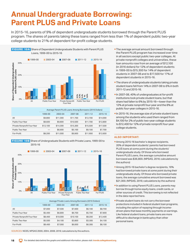### <span id="page-17-0"></span>**Annual Undergraduate Borrowing: Parent PLUS and Private Loans**

In 2015-16, parents of 9% of dependent undergraduate students borrowed through the Parent PLUS program. The shares of parents taking these loans ranged from less than 1% of dependent public two-year college students to 21% of dependent for-profit college students.



|                             | Average Parent PLUS Loans Among Borrowers (2016 Dollars) |          |          |             |          |
|-----------------------------|----------------------------------------------------------|----------|----------|-------------|----------|
|                             | 1999-00                                                  | 2003-04  | 2007-08  | $2011 - 12$ | 2015-16  |
| All                         | \$9,800                                                  | \$11,300 | \$11,700 | \$12,700    | \$14,000 |
| Public Four-Year            | \$8,600                                                  | \$9,800  | \$10,500 | \$11,700    | \$12,800 |
| Private Nonprofit Four-Year | \$12,100                                                 | \$14,300 | \$15,300 | \$15,500    | \$17,500 |
| Public Two-Year             |                                                          | \$6,900  | \$5,100  | \$9,100     | \$7,700  |
| For-Profit                  | \$8,200                                                  | \$11,000 | \$9,900  | \$11,900    | \$12,600 |





|                             | Average Private Loans Among Borrowers (2016 Dollars) |          |          |         |          |
|-----------------------------|------------------------------------------------------|----------|----------|---------|----------|
|                             | 1999-00                                              | 2003-04  | 2007-08  | 2011-12 | 2015-16  |
| All                         | \$7,000                                              | \$7,500  | \$7,000  | \$6,100 | \$8,700  |
| Public Four-Year            | \$5,400                                              | \$6,800  | \$6,700  | \$5,700 | \$7,800  |
| Private Nonprofit Four-Year | \$8,400                                              | \$10,000 | \$10,100 | \$8,200 | \$12,400 |
| Public Two-Year             | \$5,500                                              | \$4,100  | \$3,800  | \$3,300 | \$4,100  |
| For-Profit                  | \$8,400                                              | \$7,000  | \$6,600  | \$6,300 | \$8,100  |

SOURCES: NCES, NPSAS 2000, 2004, 2008, 2016; calculations by the authors.

**18** 

- **The average annual amount borrowed through** the Parent PLUS program has increased over time in all sectors except public two-year colleges. At private nonprofit colleges and universities, these loan amounts rose from an average of \$12,100 (in 2016 dollars) for 12% of dependent students in 1999-00 to \$15,300 for 14% of dependent students in 2007-08 and to \$17,500 for 17% of dependent students in 2015-16.
- **The share of undergraduate students taking private** student loans fell from 14% in 2007-08 to 6% in both 2011-12 and 2015-16.
- In 2007-08, 40% of undergraduates at for-profit institutions took private student loans, but that share had fallen to 6% by 2015-16—lower than the 12% at private nonprofit four-year and the 8% at public four-year colleges in 2015-16.
- In 2015-16, the average size of private student loans among the students who used them ranged from \$4,100 for 2% of public two-year college students to \$12,400 for 12% of private nonprofit four-year college students.

- **Among 2015-16 bachelor's degree recipients,** 20% of dependent students' parents had borrowed PLUS loans at some point during the students' undergraduate study. Of those who borrowed Parent PLUS Loans, the average cumulative amount borrowed was \$36,800. (NPSAS, 2016; calculations by the authors)
- Among 2015-16 bachelor's degree recipients, 16% had borrowed private loans at some point during their undergraduate study. Of those who borrowed private loans, the average cumulative amount borrowed was \$21,300. (NPSAS, 2016; calculations by the authors)
- **In addition to using Parent PLUS Loans, parents may** borrow through home equity loans, credit cards, or other sources of credit. This borrowing is not reflected in the data reported here.
- **Private student loans do not carry the borrower** protections included in federal student loan programs, including the option of repaying through incomedriven plans that base monthly payments on earnings. Like federal student loans, private loans are more difficult to discharge in bankruptcy than other personal loans.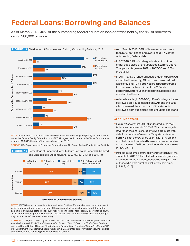### <span id="page-18-0"></span>**Federal Loans: Borrowing and Balances**

As of March 2018, 40% of the outstanding federal education loan debt was held by the 9% of borrowers owing \$80,000 or more.

#### **FIGURE 11** Distribution of Borrowers and Debt by Outstanding Balance, 2018



NOTE: Includes both loans made under the Federal Direct Loan Program (FDLP) and loans made under the Federal Family Education Loan (FFEL) Program, which ended in 2009-10. Data were as of March 31, 2018, the end of the second quarter of FY18.

SOURCE: U.S. Department of Education, Federal Student Aid Center, Federal Student Loan Portfolio.

 FIGURE 12 Percentage of Undergraduate Students Borrowing Federal Subsidized and Unsubsidized Student Loans, 2007-08, 2012-13, and 2017-18



**Percentage of Undergraduate Students** 

NOTES: IPEDS headcount enrollments are adjusted for the difference between total headcount, which counts students more than once if they are enrolled in more than one institution at the same time, and unduplicated headcount reported by the National Student Clearinghouse (NSC). Twelve-month undergraduate headcount for 2017-18 is estimated from NSC data. Percentages may not sum to 100 because of rounding.

SOURCES: NCES, *Postsecondary Institutions and Cost of Attendance in 2017-18; Degrees and Other Awards Conferred, 2016-17, and 12-Month Enrollment, 2016-17: First Look (Preliminary Data)* and earlier editions; National Student Clearinghouse, *Current Term Enrollment Estimates: Spring 2018*; U.S. Department of Education, Federal Student Aid Data Center, Title IV Program Volume Reports and Aid Recipients Summary; calculations by the authors.

- As of March 2018, 56% of borrowers owed less than \$20,000. These borrowers held 15% of the outstanding federal debt.
- In 2017-18, 71% of undergraduates did not borrow either subsidized or unsubsidized Stafford Loans. That percentage was 70% in 2007-08 and 63% in 2012-13.
- In 2017-18, 5% of undergraduate students borrowed subsidized loans only, 5% borrowed unsubsidized loans only, and 19% borrowed from both programs. In other words, two-thirds of the 29% who borrowed Stafford Loans took both subsidized and unsubsidized loans.
- A decade earlier, in 2007-08, 12% of undergraduates borrowed only subsidized loans. Among the 29% who borrowed, less than half of the students borrowed both subsidized and unsubsidized loans.

- **Figure 12 shows that 29% of undergraduates took** federal student loans in 2017-18. This percentage is lower than the share of students who graduate with debt for a number of reasons. Many students who borrow do not borrow every year. In 2015-16, among enrolled students who had borrowed at some point as undergraduates, 70% borrowed federal student loans. (NPSAS, 2016)
- Part-time students borrow at lower rates than full-time students. In 2015-16, half of all full-time undergraduates used federal student loans, compared with just 18% of those who were enrolled exclusively part time. (NPSAS, 2016)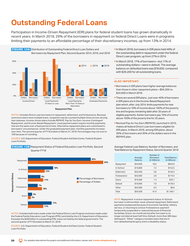### <span id="page-19-0"></span>**Outstanding Federal Loans**

Participation in Income-Driven Repayment (IDR) plans for federal student loans has grown dramatically in recent years. In March 2018, 29% of the borrowers in repayment on federal Direct Loans were in programs limiting their payments to an affordable percentage of their discretionary incomes, up from 13% in 2014.



NOTES: Includes Direct Loan borrowers in repayment, deferment, and forbearance. Because some borrowers have multiple loans, recipients may be counted multiple times across varying loan statuses. Income-driven plans include REPAYE, Pay As You Earn, Income-Contingent Repayment, and Income-Based Repayment. Level payment plans require monthly payments that are the same over a fixed period of time. Alternative repayment plans are customized to borrowers' circumstances. Under the graduated payment plan, monthly payments increase over time. The second quarter of FY18 ended on March 31, 2018. Percentages may not sum to 100 because of rounding.

SOURCE: U.S. Department of Education, Federal Student Aid Data Center, Federal Student Loan Portfolio.

 FIGURE 13B Repayment Status of Federal Education Loan Portfolio, Second Quarter FY18



NOTES: Includes both loans made under the Federal Direct Loan Program and loans made under the Federal Family Education Loan Program (FFEL) and held by the U.S. Department of Education. Excludes the \$200 billion in outstanding FFEL loans not held by the federal government. The second quarter of FY18 ended on March 31, 2018.

SOURCE: U.S. Department of Education, Federal Student Aid Data Center, Federal Student Loan Portfolio.

- In March 2018, borrowers in IDR plans held 49% of the outstanding debt in repayment under the federal Direct Loan program, up from 27% in 2014.
- In March 2018, 17% of borrowers—but 11% of outstanding dollars—were in default. The average balance on defaulted loans was \$18,600, compared with \$29,200 for all outstanding loans.

#### **ALSO IMPORTANT:**

- **Borrowers in IDR plans have higher average balances** than those in other repayment plans—\$56,200 vs. \$24,000 in March 2018.
- **There are several IDR plans. Just over 40% of borrowers** in IDR plans are in the Income-Based Repayment plan which, after July 2014, limits payments for new borrowers to 10% of income above 150% of the poverty line and forgives remaining debt after 20 years of eligible payments. Earlier borrowers pay 15% of income above 150% of the poverty line for 25 years.
- Revised Pay As You Earn (REPAYE), launched in 2015, makes all federal Direct Loan borrowers eligible for IDR plans. In March 2018, among IDR plans, about 30% of borrowers and 30% of the dollars were in the REPAYE plan.

|             | Average<br><b>Balance</b> | Number of<br><b>Borrowers</b><br>(in Millions) | <b>Total Balance</b><br>(in Billions) |
|-------------|---------------------------|------------------------------------------------|---------------------------------------|
| Repayment   | \$34,600                  | 18.6                                           | \$643.0                               |
| In-School   | \$19,800                  | 7.2                                            | \$142.5                               |
| Deferment   | \$33,200                  | 3.8                                            | \$126.3                               |
| Forbearance | \$42,600                  | 2.8                                            | \$119.3                               |
| Grace       | \$19,300                  | 1.3                                            | \$25.1                                |
| Default     | \$18,600                  | 7.0                                            | \$130.3                               |
| Other       | \$32,000                  | 0.3                                            | \$9.6                                 |
| Total       | \$29,200                  | 41.0                                           | \$1,196.1                             |

NOTE: Repayment: in active repayment status; In-School: borrower is still enrolled, never entered repayment; Deferment: payments postponed because of economic hardship, military service, or returning to school; Forbearance: payment temporarily suspended or reduced because of financial hardships; Grace: six-month period after borrower is no longer enrolled at least half time; Default: more than 360 days delinquent. "Other" category includes loans that are in non-defaulted bankruptcy and in a disability status.

### Average Federal Loan Balance, Number of Borrowers, and Total Balance by Repayment Status, Second Quarter 2018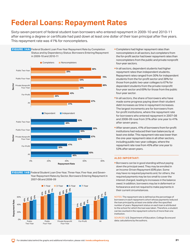### <span id="page-20-0"></span>**Federal Loans: Repayment Rates**

Sixty-seven percent of federal student loan borrowers who entered repayment in 2009-10 and 2010-11 after earning a degree or certificate had paid down at least one dollar of their loan principal after five years. This repayment rate was 41% for noncompleters.







- **Completers had higher repayment rates than** noncompleters in all sectors, but completers from the for-profit sector had lower repayment rates than noncompleters from the public and private nonprofit four-year sectors.
- In all sectors, dependent students had higher repayment rates than independent students. Repayment rates ranged from 30% for independent students from the for-profit sector and 38% for those from public two-year colleges to 67% for dependent students from the private nonprofit four-year sector and 69% for those from the public four-year sector.
- In all sectors, the share of borrowers who have made some progress paying down their student debt increases as time in repayment increases. The largest increments are for borrowers from for-profit institutions, where the repayment rate for borrowers who entered repayment in 2007-08 and 2008-09 rose from 31% after one year to 41% after seven years.
- **After seven years, 41% of borrowers from for-profit** institutions had reduced their loan balances by at least one dollar. This repayment rate was lower than the one-year repayment rates in all other sectors, including public two-year colleges, where the repayment rate rose from 45% after one year to 53% after seven years.

#### **ALSO IMPORTANT:**

Borrowers can be in good standing without paying down the principal owed. They may be enrolled in an Income-Driven Repayment (IDR) plan. Some may have no required payments and, for others, the required payments may be too small to cover the interest charged, leading to increases in the balance owed. In addition, borrowers may be in deferment or forbearance and not required to make payments in their current circumstances.

NOTES: The repayment rate is defined as the percentage of borrowers in each repayment cohort whose payments reduced the loan principal by at least one dollar after the specified number of years. Repayment status on each loan is attributed to the school for which the loan was taken. Therefore, a student can be counted in the repayment cohorts of more than one institution.

SOURCES: U.S. Department of Education, College Scorecard data; calculations by the authors.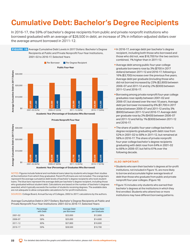### <span id="page-21-0"></span>**Cumulative Debt: Bachelor's Degree Recipients**

In 2016-17, the 59% of bachelor's degree recipients from public and private nonprofit institutions who borrowed graduated with an average of \$28,500 in debt, an increase of 3% in inflation-adjusted dollars over the average amount borrowed in 2011-12.

FIGURE 15 Average Cumulative Debt Levels in 2017 Dollars: Bachelor's Degree Recipients at Public and Private Nonprofit Four-Year Institutions, 2001-02 to 2016-17, Selected Years





NOTES: Figures include federal and nonfederal loans taken by students who began their studies at the institution from which they graduated. Parent PLUS loans are not included. The orange bars represent the average cumulative debt levels of bachelor's degree recipients who took student loans. The blue bars represent the average debt per bachelor's degree recipient, including those who graduated without student debt. Calculations are based on the number of bachelor's degrees awarded, which typically exceeds the number of students receiving degrees. The available data are not adequate to allow comparable calculations for for-profit institutions.

Private Nonprofit Four-Year Institutions: 2001-02 to 2016-17, Selected Years

|         | Percentage<br>with Debt | Average Debt<br>per Borrower | Average Debt<br>per Graduate |
|---------|-------------------------|------------------------------|------------------------------|
| 2001-02 | 56%                     | \$23,000                     | \$12,800                     |
| 2006-07 | 58%                     | \$25,000                     | \$14,600                     |
| 2011-12 | 60%                     | \$27,800                     | \$16,600                     |
| 2016-17 | 59%                     | \$28,500                     | \$16,700                     |

- In 2016-17, average debt per bachelor's degree recipient, including both those who borrowed and those who did not, was \$16,700 for the two sectors combined, 1% higher than in 2011-12.
- Average debt among public four-year college graduate borrowers rose by 3% (\$700 in 2017 dollars) between 2011-12 and 2016-17, following a 16% (\$3,700) increase over the previous five years. Average debt per graduate (including those who did not borrow) increased by 23% (\$2,800) between 2006-07 and 2011-12 and by 2% (\$300) between 2011-12 and 2016-17.
- Borrowing among private nonprofit four-year college graduates rose rapidly between 2001-02 and 2006-07, but slowed over the next 10 years. Average debt per borrower increased by 6% (\$1,700 in 2017 dollars) between 2006-07 and 2011-12 and by 3% (\$900) between 2011-12 and 2016-17. Average debt per graduate rose by 2% (\$400) between 2006-07 and 2011-12 and fell by 1% (\$300) between 2011-12 and 2016-17.
- **The share of public four-year college bachelor's** degree recipients graduating with debt rose from 52% in 2001-02 to 58% in 2011-12, but remained at 58% in 2016-17. The share of private nonprofit four-year college bachelor's degree recipients graduating with debt rose from 64% in 2001-02 to 66% in 2006-07, but fell to 61% over the following decade.

- **Students who earn their bachelor's degrees at for-profit** institutions, not included in Figure 15, are more likely to borrow and accumulate higher average levels of debt than those who graduate from public and private nonprofit four-year colleges. (Figure 16)
- **Figure 15 includes only students who earned their** bachelor's degrees at the institutions in which they first enrolled. Students who attend two or more institutions may have different borrowing patterns.

SOURCES: College Board, Annual Survey of Colleges, 2002 to 2017; calculations by the authors. Average Cumulative Debt in 2017 Dollars: Bachelor's Degree Recipients at Public and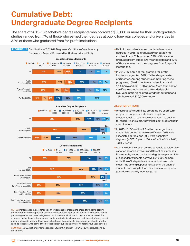## <span id="page-22-0"></span>**Cumulative Debt: Undergraduate Degree Recipients**

The share of 2015-16 bachelor's degree recipients who borrowed \$50,000 or more for their undergraduate studies ranged from 7% of those who earned their degrees at public four-year colleges and universities to 32% of those who graduated from for-profit institutions.







NOTES: Percentages in parentheses on vertical axes represent the share of students earning their credentials in the specified sectors. These percentages do not sum to 100 because a small percentage of students earn degrees at institutions not included in the sectors reported. For example, the bachelor's degree graph excludes students who earned their bachelor's degrees at public and private nonprofit two-year schools and the associate degree and certificate graphs exclude students who earned their credentials at public and private nonprofit four-year schools.

SOURCES: NCES, National Postsecondary Student Aid Study (NPSAS), 2016; calculations by the authors.

- Half of the students who completed associate degrees in 2015-16 graduated without taking student loans. This included 59% of those who graduated from public two-year colleges and 12% of those who earned their degrees from for-profit institutions.
- In 2015-16, non-degree-granting for-profit institutions granted 30% of all undergraduate certificates. Among students completing these programs, 15% did not take student loans and 17% borrowed \$20,000 or more. More than half of certificate completers who attended public two-year institutions graduated without debt and 15% borrowed \$20,000 or more.

- Undergraduate certificate programs are short-term programs that prepare students for gainful employment in a recognized occupation. To qualify for federal financial aid, they must meet program hour specifications.
- In 2015-16, 24% of the 3.9 million undergraduate credentials conferred were certificates, 26% were associate degrees, and 50% were bachelor's degrees. (NCES, *Digest of Education Statistics 2017*, Table 318.40)
- **Average debt by type of degree conceals considerable** variation across borrowers of different backgrounds. For example, among bachelor's degree recipients, 11% of dependent students borrowed \$40,000 or more, while 28% of independent students borrowed this much. And among dependent students, the share of students borrowing to fund their bachelor's degrees goes down as family incomes go up.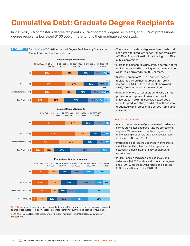### <span id="page-23-0"></span>**Cumulative Debt: Graduate Degree Recipients**

In 2015-16, 5% of master's degree recipients, 20% of doctoral degree recipients, and 50% of professional degree recipients borrowed \$100,000 or more to fund their graduate school study.





NOTES: Includes all loans borrowed for graduate study. Percentages on the vertical axis represent shares of graduates from each sector. Percentages may not sum to 100 because of rounding.

SOURCES: NCES, National Postsecondary Student Aid Study (NPSAS), 2016; calculations by the authors.

- **The share of master's degree recipients who did** not borrow for graduate school ranged from a low of 21% at for-profit institutions to a high of 42% at public universities.
- More than half of public university doctoral degree recipients avoided borrowing for graduate school, while 12% borrowed \$100,000 or more.
- Sixteen percent of 2015-16 doctoral degree recipients earned their degrees at for-profit institutions; 51% of these students borrowed \$100,000 or more for graduate school.
- More than one-quarter of students who earned professional degrees at private nonprofit universities in 2015-16 borrowed \$200,000 or more for graduate study, as did 9% of those who graduated with professional degrees from public universities.

- Almost three-quarters of graduate-level credentials earned are master's degrees; 12% are professional degrees; 5% are research doctoral degrees; and the remaining credentials are post-baccalaureate certificates. (NPSAS, 2016)
- **Professional degrees include those in chiropractic** medicine, dentistry, law, medicine, optometry, osteopathic medicine, pharmacy, podiatry, and veterinary medicine.
- In 2016, median earnings among adults 25 and older were \$91,600 for those with doctoral degrees and \$100,100 for those with professional degrees. (U.S. Census Bureau, Table PINC-03)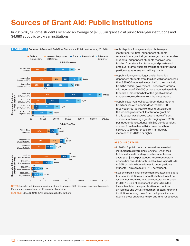In 2015-16, full-time students received an average of \$7,300 in grant aid at public four-year institutions and \$4,680 at public two-year institutions.

<span id="page-24-0"></span>

NOTES: Includes full-time undergraduate students who were U.S. citizens or permanent residents. Percentages may not sum to 100 because of rounding.

SOURCES: NCES, NPSAS, 2016; calculations by the authors.

- students. Independent students received less At both public four-year and public two-year institutions, full-time independent students received more grant aid, on average, than dependent funding from state, institutional, and private and employer grants, but more from federal grants and, particularly, veterans and military grants.
- **At public four-year colleges and universities,** dependent students from families with incomes less than \$35,000 received almost half of their grant aid from the federal government. Those from families with incomes of \$70,000 or more received very little federal aid; more than half of the grant aid these students received came from their institutions.
- At public two-year colleges, dependent students from families with incomes less than \$35,000 received three-quarters of their grant aid from the federal government. Institutional grant aid in this sector was skewed toward more affluent students, with average grants ranging from \$230 per independent student and \$380 per dependent student from families with incomes less than \$35,000 to \$970 for those from families with incomes of \$120,000 or higher.

- In 2015-16, public doctoral universities awarded institutional aid averaging \$5,750 to 43% of their full-time domestic undergraduate students—an average of \$2,490 per student. Public nondoctoral universities awarded institutional aid averaging \$3,730 to 30% of their full-time domestic undergraduate students—an average of \$1,110 per student.
- universities and 24% attended non-doctoral-granting Students from higher-income families attending public four-year institutions are more likely than those from lower-income families to attend doctoral universities. In 2015-16, 76% of dependent students from the lowest family income quartile attended doctoral institutions. Among those from the highest income quartile, these shares were 85% and 15%, respectively.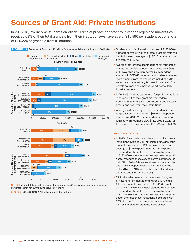### <span id="page-25-0"></span>**Sources of Grant Aid: Private Institutions**

In 2015-16, low-income students enrolled full time at private nonprofit four-year colleges and universities received 63% of their total grant aid from their institutions—an average of \$16,590 per student out of a total of \$26,220 of grant aid from all sources.



NOTES: Includes full-time undergraduate students who were U.S. citizens or permanent residents. Percentages may not sum to 100 because of rounding.

SOURCES: NCES, NPSAS, 2016; calculations by the authors.

- Students from families with incomes of \$120,000 or higher received 85% of their total grant aid from their institutions—an average of \$13,510 per student out of a total of \$15,860.
- Average total grant aid for independent students at private nonprofit institutions was only about 60% of the average amount received by dependent students in 2015-16. Independent students received more funding from federal grants including aid to veterans and the military, but less from states, from private sources and employers and, particularly, from institutions.
- In 2015-16, full-time students at for-profit institutions received 42% of their grant aid from federal nonmilitary grants, 33% from veterans and military grants, and 15% from their institutions.
- Average institutional grant aid per student in the for-profit sector ranged from \$910 for independent students and \$1,920 for dependent students from families with incomes below \$35,000 to \$2,920 for those with incomes between \$70,000 and \$120,000.

- In 2015-16, very selective private nonprofit four-year institutions awarded 73% of their full-time domestic students an average of \$24,340 in grant aid—an average of \$17,670 per student. Forty-five percent of dependent students from families with incomes of \$120,000 or more enrolled in the private nonprofit sector attended these very selective institutions, as did 25% to 30% of those from lower-income families and 21% of independent students. (Selectivity is defined by NPSAS based on the share of students admitted and SAT®/ACT scores.)
- Minimally selective and open admission four-year private nonprofit institutions awarded 43% of their full-time students an average of \$11,450 in grant aid—an average of \$4,910 per student. Four percent of dependent students from families with incomes of \$120,000 or more enrolled in the private nonprofit sector attended these institutions, compared with 20% of those from the lowest-income families and 34% of independent students in this sector.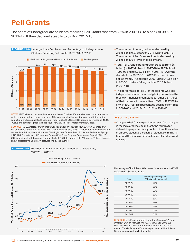### <span id="page-26-0"></span>**Pell Grants**

The share of undergraduate students receiving Pell Grants rose from 25% in 2007-08 to a peak of 38% in 2011-12. It then declined steadily to 32% in 2017-18.



NOTES: IPEDS headcount enrollments are adjusted for the difference between total headcount, which counts students more than once if they are enrolled in more than one institution at the same time, and unduplicated headcount reported by the National Student Clearinghouse (NSC). Twelve-month undergraduate headcount for 2017-18 is estimated from NSC data.

SOURCES: NCES, *Postsecondary Institutions and Cost of Attendance in 2017-18, Degrees and Other Awards Conferred, 2016-17, and 12-Month Enrollment, 2016-17: First Look (Preliminary Data)* and earlier editions; National Student Clearinghouse, *Current Term Enrollment Estimates: Spring 2018*; U.S. Department of Education, *Federal Pell Grant Program End-of-Year Report 2016-17*; U.S. Department of Education, Federal Student Aid Data Center, Title IV Program Volume Reports and Aid Recipients Summary; calculations by the authors.

### FIGURE 20B Total Pell Grant Expenditures and Number of Recipients, 1977-78 to 2017-18



- **The number of undergraduates declined by** 2.6 million (10%) between 2011-12 and 2017-18. The number of Pell Grant recipients declined by 2.4 million (26%) over these six years.
- Total Pell Grant expenditures increased from \$6.1 billion (in 2017 dollars) in 1977-78 to \$9.7 billion in 1997-98 and to \$28.2 billion in 2017-18. Over the decade from 2007-08 to 2017-18, expenditures spiked from \$17.2 billion in 2007-08 to \$40.1 billion in 2010-11, before falling back to \$28.2 billion in 2017-18.
- **The percentage of Pell Grant recipients who are** independent students, with eligibility determined by their own financial circumstances rather than those of their parents, increased from 39% in 1977-78 to 57% in 1997-98. This percentage declined from 58% in 2007-08 and 2012-13 to 51% in 2016-17.

### **ALSO IMPORTANT:**

 Changes in Pell Grant expenditures result from changes in the legislated maximum grant, the formula for determining expected family contributions, the number of enrolled students, the share of students enrolling full time, and the financial circumstances of students and families.

Percentage of Recipients Who Were Independent, 1977-78 to 2016-17, Selected Years

| Year    | Percentage of Recipients<br>Who Were Independent |  |
|---------|--------------------------------------------------|--|
| 1977-78 | 39%                                              |  |
| 1987-88 | 58%                                              |  |
| 1997-98 | 57%                                              |  |
| 2007-08 | 58%                                              |  |
| 2012-13 | 58%                                              |  |
| 2013-14 | 56%                                              |  |
| 2014-15 | 55%                                              |  |
| 2015-16 | 53%                                              |  |
| 2016-17 | 51%                                              |  |

SOURCES: U.S. Department of Education, *Federal Pell Grant Program End-of-Year Report, 1977-78 through 2016-17*; U.S. Department of Education, Federal Student Aid Data Center, Title IV Program Volume Reports and Aid Recipients Summary; calculations by the authors.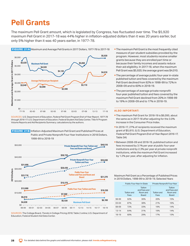### <span id="page-27-0"></span>**Pell Grants**

The maximum Pell Grant amount, which is legislated by Congress, has fluctuated over time. The \$5,920 maximum Pell Grant in 2017-18 was 44% higher in inflation-adjusted dollars than it was 20 years earlier, but only 5% higher than it was 40 years earlier, in 1977-78.



FIGURE 21A Maximum and Average Pell Grants in 2017 Dollars, 1977-78 to 2017-18

SOURCES: U.S. Department of Education, *Federal Pell Grant Program End-of-Year Report, 1977-78* 

*through 2016-17*; U.S. Department of Education, Federal Student Aid Data Center, Title IV Program Volume Reports and Aid Recipients Summary; calculations by the authors.





18-19 60% 29% 17% 13% SOURCES: The College Board, *Trends in College Pricing 2018*, Table 2 online; U.S. Department of Education, Federal Student Aid Data Center.

- **The maximum Pell Grant is the most frequently cited** measure of per-student subsidies provided by the program. However, most students receive smaller grants because they are enrolled part time or because their family incomes and assets reduce their aid eligibility. In 2017-18, when the maximum Pell Grant was \$5,920, the average grant was \$4,010.
- **The percentage of average public four-year in-state** published tuition and fees covered by the maximum Pell Grant declined from 92% in 1998-99 to 72% in 2008-09 and to 60% in 2018-19.
- **The percentage of average private nonprofit** four-year published tuition and fees covered by the maximum Pell Grant declined from 20% in 1998-99 to 19% in 2008-09 and to 17% in 2018-19.

### **ALSO IMPORTANT:**

- The maximum Pell Grant for 2018-19 is \$6,095, about the same as in 2017-18 after adjusting for the 3.0% increase in the Consumer Price Index.
- In 2016-17, 27% of recipients received the maximum grant of \$5,815. (U.S. Department of Education, *Federal Pell Grant Program End-of-Year Report 2016-17*, Table 3A)
- Between 2008-09 and 2018-19, published tuition and fees increased by 3.1% per year at public four-year institutions and by 2.3% per year at private nonprofit institutions, while the maximum Pell Grant increased by 1.2% per year, after adjusting for inflation.

Maximum Pell Grant as a Percentage of Published Prices in 2018 Dollars, 1998-99 to 2018-19, Selected Years

|           |                            | Public Four-Year In-State                           | Private Nonprofit Four-Year |                                                     |  |
|-----------|----------------------------|-----------------------------------------------------|-----------------------------|-----------------------------------------------------|--|
|           | <b>Tuition and</b><br>Fees | Tuition<br>and Fees and<br>Room and<br><b>Board</b> | <b>Tuition and</b><br>Fees  | Tuition<br>and Fees and<br>Room and<br><b>Board</b> |  |
| 98-99     | 92%                        | 39%                                                 | 20%                         | 15%                                                 |  |
| $03 - 04$ | 87%                        | 38%                                                 | 21%                         | 16%                                                 |  |
| 08-09     | 72%                        | 33%                                                 | 19%                         | 14%                                                 |  |
| $13 - 14$ | 64%                        | 31%                                                 | 19%                         | 14%                                                 |  |
| $18-19$   | 60%                        | 29%                                                 | 17%                         | 13%                                                 |  |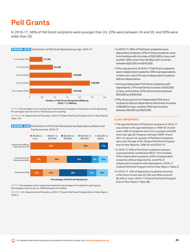### <span id="page-28-0"></span>**Pell Grants**

In 2016-17, 56% of Pell Grant recipients were younger than 24, 23% were between 24 and 30, and 20% were older than 30.



NOTES: Percentages on the vertical axis represent percentages of recipients in each age group. Percentages may not sum to 100 because of rounding.

SOURCE: U.S. Department of Education, *2016-17 Federal Pell Grant Program End-of-Year Report*, Table 11A.



**FIGURE 22B** Distribution of Pell Grant Recipients by Dependency Status and Family Income, 2016-17

NOTES: Percentages on the vertical axis represent percentages of recipients in each group. Percentages may not sum to 100% because of rounding.

SOURCE: U.S. Department of Education, *2016-17 Federal Pell Grant Program End-of-Year Report*, Table 2.

- In 2016-17, 49% of Pell Grant recipients were dependent students; 37% of these students came from families with incomes of \$20,000 or less, and another 36% came from families with incomes between \$20,000 and \$40,000.
- were independent students; 30% had dependents Fifty-one percent of 2016-17 Pell Grant recipients of their own; and 21% were independent students without dependents.
- **Among independent Pell Grant recipients with** dependents, 47% had family incomes of \$20,000 or less, and another 32% had incomes between \$20,000 and \$40,000.
- **Fifty-three percent of independent Pell Grant** recipients without dependents had family incomes of \$9,000 or less; another 35% had incomes between \$9,000 and \$20,000.

- eir own; and 21<br>
eir own; and 21<br>
out dependent<br>
ong independe<br>
endents, 47% |<br>
ss, and anothe<br>
000 and \$40,0<br>
-three percent<br>
oients without<br>
0,000 or less; a<br>
ween \$9,000 ar<br> **IMPORTANT**<br>
age distributior<br>
similar to the The age distribution of Pell Grant recipients in 2016-17 was similar to the age distribution in 1996-97. In both years, 56% of recipients were 23 or younger and 20% were over age 30. However, between 2009-10 and 2011-12, about one-quarter of Pell Grant recipients were over the age of 30. (*Federal Pell Grant Program End-of-Year Reports*, 1996-97 and 2016-17)
- 51% of dependent recipients, 63% of independent In 2016-17, 63% of Pell Grant recipients had zero expected family contribution (EFC). This included recipients without dependents, and 81% of independent recipients with dependents. (*2016-17 Federal Pell Grant Program End-of-Year Report*, Table 2)
- In 2016-17, 12% of dependent recipients received a Pell Grant of less than \$1,500 and 38% received \$5,400 or more. (*2016-17 Federal Pell Grant Program End-of-Year Report*, Table 3B)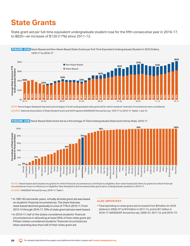## <span id="page-29-0"></span>**State Grants**

State grant aid per full-time equivalent undergraduate student rose for the fifth consecutive year in 2016-17, to \$820—an increase of \$120 (17%) since 2011-12.



NOTE: Percentages displayed represent percentages of total undergraduate state grant aid for which students' financial circumstances were considered. SOURCE: National Association of State Student Grant and Aid Programs (NASSGAP) Annual Survey, 1976-77 to 2016-17, Tables 1 and 12.



FIGURE 23B Need-Based State Grant Aid as a Percentage of Total Undergraduate State Grant Aid by State, 2016-17

NOTES: Need-based aid includes any grants for which financial circumstances contribute to eligibility. Non-need-based aid refers to grants for which financial circumstances have no influence on eligibility. New Hampshire did not award state grant aid to undergraduate students in 2016-17.

SOURCE: NASSGAP Annual Survey, 2016-17, Table 1.

- **In 1981-82 and earlier years, virtually all state grant aid was based**<br>On students' financial circumstances. The share that was on students' financial circumstances. The share that was need-based declined gradually to a low of 71% in 2010-11. From 2013-14 through 2016-17, 76% of state grant aid was need-based.
- In 2016-17, half of the states considered students' financial 2016-17. (NASSGAP Annual Survey, 2006-07, 2011-12, and 2016-17) circumstances in allocating at least 95% of their state grant aid. Fifteen states considered students' financial circumstances when awarding less than half of their state grant aid.

Total spending on state grant aid increased from \$9 billion (in 2016 dollars) in 2006-07 to \$10 billion in 2011-12, and to \$11 billion in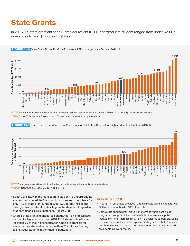## <span id="page-30-0"></span>**State Grants**

In 2016-17, state grant aid per full-time equivalent (FTE) undergraduate student ranged from under \$200 in nine states to over \$1,000 in 13 states.



FIGURE 24A State Grant Aid per Full-Time Equivalent (FTE) Undergraduate Student, 2016-17

NOTES: Full-time equivalent students include both state residents and out-of-state students. States do not award grant aid to nonresidents. SOURCES: NASSGAP Annual Survey, 2016-17, Tables 1 and 12; calculations by the authors.



FIGURE 24B State Grant Expenditures as a Percentage of Total State Support for Higher Education by State, 2016-17

NOTE: State grant expenditures include funding for both undergraduate and graduate students. SOURCE: NASSGAP Annual Survey, 2016-17, Table 14.

- South Carolina, with the highest grant aid per FTE undergraduate student, considered the financial circumstances of recipients for only 17% of state grant funds in 2016-17. Georgia, the second most generous state, allocates its grant funds without regard to students' financial circumstances. (Figure 23B)
- Overall, state grant expenditures constituted 13% of total state support for higher education in 2016-17. Thirteen states devoted less than 5% of their higher education funding to grant aid for students; nine states directed more than 20% of their funding to individual students rather than to institutions.

- In 2016-17, four states provided 42% of all state grant aid dollars, with California accounting for 18% of the total.
- Some state-funded grant aid is in the form of "tuition set-aside" programs through which a portion of tuition revenues at public institutions—or of increases in tuition—is dedicated to grant aid. Some of these funds are included in reported state grant aid, but others are not. Tuition remission dollars, not always reported as state grant aid, are sizable in several states.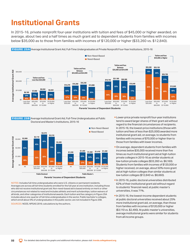### <span id="page-31-0"></span>**Institutional Grants**

In 2015-16, private nonprofit four-year institutions with tuition and fees of \$45,000 or higher awarded, on average, about two and a half times as much grant aid to dependent students from families with incomes below \$35,000 as to those from families with incomes of \$120,000 or higher (\$33,260 vs. \$12,840).



FIGURE 25B Average Institutional Grant Aid, Full-Time Undergraduates at Public Lower-price private nonprofit four-year institutions Doctoral and Master's Institutions, 2015-16



NOTES: Includes full-time undergraduates who were U.S. citizens or permanent residents. Averages are across all full-time students enrolled for the full year at one institution, including those who did not receive institutional grant aid. Non-need-based aid is based entirely on merit or other circumstances not related to need and includes athletic and merit scholarships, tuition waivers of all kinds, and other categories of institutional awards. Each tuition and fee category in Figure 25A includes about one-quarter of full-time undergraduates in the sector. Public bachelor's colleges, which enroll about 5% of undergraduates in the public sector, are not included in Figure 25B.

SOURCES: NCES, NPSAS 2016; calculations by the authors.

tend to award larger shares of their grant aid without regard to the financial circumstances of recipients. In 2015-16, the lowest-price institutions (those with tuition and fees of less than \$25,000) awarded more institutional grant aid, on average, to students from families with incomes of \$70,000 or higher than to those from families with lower incomes.

- **On average, dependent students from families with** incomes below \$35,000 received more than five times as much institutional grant aid at high-tuition private colleges in 2015-16 as similar students at low-tuition private colleges (\$33,260 vs. \$6,160). Students from families with incomes of \$120,000 or higher received, on average, about 50% more grant aid at high-tuition colleges than similar students at low-tuition colleges (\$12,840 vs. \$8,660).
- In 2015-16, public doctoral universities distributed 62% of their institutional grant aid without regard to students' financial need; at public master's universities, it was 71%.
- In 2015-16, the lowest-income dependent students at public doctoral universities received about 25% more institutional grant aid, on average, than those from families with incomes of \$120,000 or higher (\$3,110 vs. \$2,490). At public master's universities, average institutional grants were similar for students from all income groups.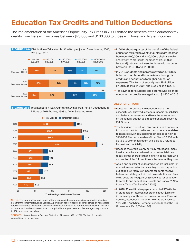## <span id="page-32-0"></span>**Education Tax Credits and Tuition Deductions**

The implementation of the American Opportunity Tax Credit in 2009 shifted the benefits of the education tax credits from filers with incomes between \$25,000 and \$100,000 to those with lower and higher incomes.



 FIGURE 26B Total Education Tax Credits and Savings from Tuition Deductions in Billions of 2016 Dollars, 1998 to 2016, Selected Years



NOTES: The total and average values of tax credits and deductions are best estimates based on data from the Internal Revenue Service. A portion of nonrefundable dollars claimed on nontaxable returns is excluded to account for credits and deductions that do not reduce tax liability. The value of tax deductions is estimated based on applicable marginal tax rates. Percentages may not sum to 100 because of rounding.

SOURCES: Internal Revenue Service, Statistics of Income 1998 to 2016, Tables 1.3, 1.4, 3.3; calculations by the authors.

- In 2016, about a quarter of the benefits of the federal education tax credits went to tax filers with incomes between \$100,000 and \$180,000; a slightly smaller share went to filers with incomes of \$25,000 or less; and just over half went to those with incomes between \$25,000 and \$100,000.
- In 2016, students and parents saved about \$16.6 billion on their federal income taxes through tax credits and deductions for higher education expenses. This form of subsidy was \$8.8 billion (in 2016 dollars) in 2006 and \$22.9 billion in 2010.
- **Tax savings for students and parents who claimed** education tax credits averaged about \$1,500 in 2016.

- **Education tax credits and deductions are "tax** expenditures." They reduce federal income tax liabilities and federal tax revenues and have the same impact on the federal budget as direct expenditures such as Pell Grants.
- **The American Opportunity Tax Credit, which accounts** for most of the total credits and deductions, is available to taxpayers with adjusted gross incomes as high as \$180,000. The maximum benefit per filer is \$2,500, with up to \$1,000 of that amount available as a refund to filers with no tax liability.
- **Because the credit is only partially refundable, many** low-income filers who have low or no tax liabilities receive smaller credits than higher-income filers who can subtract the full credit from the amount they owe.
- About one quarter of undergraduates are ineligible for education tax credits because they do not pay tuition out of pocket. Many low-income students receive federal and state grant aid that covers tuition and fees; living costs are not qualifying expenses for education tax credits and deductions. (Delisle and Dancy, "A New Look at Tuition Tax Benefits," 2015)
- In 2016, 12.4 million taxpayers deducted \$13.4 billion in student loan interest, generating about \$2 billion in tax savings for those borrowers. (Internal Revenue Service, Statistics of Income, 2016, Table 1.4; Fiscal Year 2017, Analytical Perspectives, Budget of the U.S. Government FY18, Table 13-1)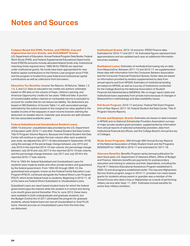### <span id="page-33-0"></span>**Notes and Sources**

#### **Campus-Based Aid (FWS, Perkins, and FSEOG), Iraq and Afghanistan Service Grants, and ACG/SMART Grants:**

U.S. Department of Education, [Annual Federal Program Data Books](http://www2.ed.gov/finaid/prof/resources/data/ope.html). Federal Work-Study (FWS), and Federal Supplemental Educational Opportunity Grant (FSEOG) amounts include allocated federal funds only. Institutional matching funds required since 1989-90 for FSEOG are reported under institutional grants. No funds have been appropriated for new federal capital contributions to the Perkins Loan program since FY06, and the program is funded from past federal and institutional capital contributions as well as collections from borrowers.

**Education Tax Benefits:** Income Tax Returns, All Returns, Tables 1.3, 1.4, 2, and 3.3. Data on education tax credits are authors' estimates based on IRS data on the volume of Hope, Lifetime Learning, and American Opportunity credits for tax years 1998 and later. A portion of nonrefundable dollars claimed on nontaxable returns is excluded to account for credits that do not reduce tax liability. Tax deductions are based on IRS Statistics of Income Table 1.4, with associated savings estimated by the authors based on the marginal tax rates applied to the taxable income of the taxpayers in each income bracket claiming the deduction on taxable returns. Calendar year amounts are split between the two associated academic years.

#### **Federal Subsidized and Unsubsidized Student Loans:**

2009-10 and prior: unpublished data provided by the U.S. Department of Education staff; 2010-11 and after: Federal Student Aid Data Center, Title IV Program Volume Reports. Because the Federal Student Aid Data Center will continue to update the loan volume after each academic year ends, we adjusted the 2017-18 data (released in September 2018) using the average of the percentage change between July 2015 and July 2016 in the reported 2014-15 loan volume, the percentage change between July 2016 and July 2017 in the reported 2015-16 loan volume, and the percentage change between July 2017 and July 2018 in the reported 2016-17 loan volume.

Prior to 1993-94, federal Subsidized and Unsubsidized Loans for students were made by banks and other private lenders and guaranteed by the federal government. From 1994-95 through 2009-10, the guaranteed loan program, known as the Federal Family Education Loan Program (FFELP), continued alongside the Federal Direct Loan Program (FDLP), which lends federal funds to students. Beginning in 2010-11, all of the loans are Federal Direct Subsidized or Unsubsidized Loans.

Subsidized Loans are need-based student loans for which the federal government pays the interest while the student is in school and during a six-month grace period thereafter. Prior to June 2012, these loans were available to both undergraduate and graduate students, but the Budget Control Act of 2011 eliminated the program for graduate students, whose federal loans are now all Unsubsidized or Grad PLUS loans. Interest accrues on Unsubsidized Loans from the time they are disbursed.

**Institutional Grants:** 2015-16 and prior: IPEDS Finance data. Estimated for 2016-17 and 2017-18. Estimated figures represent best approximations and are updated each year as additional information becomes available.

**Nonfederal Loans:** Estimates of nonfederal borrowing rely on data from MeasureOne. Between 2011-12 and 2016-17, we supplemented these data with information from the Consumer Bankers Association and the Consumer Financial Protection Bureau. Earlier data are based on information provided by lenders supplemented by data from annual reports and from NPSAS. Estimates of institutional lending are based on NPSAS, as well as a survey of institutions conducted for the College Board by the National Association of Student Financial Aid Administrators (NASFAA). We no longer report state and institutional loans separately from private loans because of changes in MeasureOne's methodology and data availability issues.

**Pell Grant Program:** 2016-17 and prior: *Federal Pell Grant Program End-of-Year Report*; 2017-18: Federal Student Aid Data Center, Title IV Program Volume Reports.

**Private and Employer Grants:** Estimates are based on data included in NPSAS and on National Scholarship Providers Association surveys of major private student grant providers, supplemented by information from annual reports of selected scholarship providers, data from institutional financial aid offices, and the College Board's Annual Survey of Colleges.

**State Grant Programs:** 20th through 48th Annual Survey Reports of the National Association of State Student Grant and Aid Programs (NASSGAP) for 1988-89 to 2016-17 and estimated for 2017-18.

**Veterans Benefits:** Benefits Program series (annual publication for each fiscal year), U.S. Department of Veterans Affairs, Office of Budget and Finance. Veterans benefits are payments for postsecondary education and training to veterans and their dependents, including the Post-9/11 Veterans Educational Assistance Program established in 2009-10 and all programs established earlier. The Iraq and Afghanistan Service Grants program, begun in 2010-11, provides non-need-based grants for students whose parent or guardian was a member of the Armed Forces who died in Iraq or Afghanistan as a result of performing military service after Sept. 11, 2001. Estimates include benefits for active duty military members.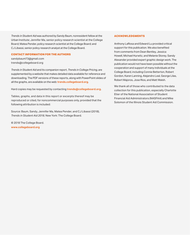*Trends in Student Aid* was authored by Sandy Baum, nonresident fellow at the Urban Institute; Jennifer Ma, senior policy research scientist at the College Board; Matea Pender, policy research scientist at the College Board; and CJ Libassi, senior policy research analyst at the College Board.

#### **CONTACT INFORMATION FOR THE AUTHORS**

sandybaum73@gmail.com trends@collegeboard.org

*Trends in Student Aid* and its companion report, *Trends in College Pricing*, are supplemented by a website that makes detailed data available for reference and downloading. The PDF versions of these reports, along with PowerPoint slides of all the graphs, are available on the web:**[trends.collegeboard.org](http://trends.collegeboard.org)**.

Hard copies may be requested by contacting **trends@collegeboard.org**.

Tables, graphs, and data in this report or excerpts thereof may be reproduced or cited, for noncommercial purposes only, provided that the following attribution is included:

Source: Baum, Sandy, Jennifer Ma, Matea Pender, and CJ Libassi (2018), *Trends in Student Aid 2018,* New York: The College Board.

© 2018 The College Board. **[www.collegeboard.org](http://www.collegeboard.org)** 

#### **ACKNOWLEDGMENTS**

Anthony LaRosa and Edward Lu provided critical support for this publication. We also benefited from comments from Dean Bentley, Jessica Howell, Michael Hurwitz, and Melanie Storey. Sandy Alexander provided expert graphic design work. The publication would not have been possible without the cooperation and support of many individuals at the College Board, including Connie Betterton, Robert Gordon, Karen Lanning, Alejandro Leal, George Lilas, Robert Majoros, Jose Rios, and Matt Walsh.

We thank all of those who contributed to the data collection for this publication, especially Charlotte Etier of the National Association of Student Financial Aid Administrators (NASFAA) and Mike Solomon of the Illinois Student Aid Commission.